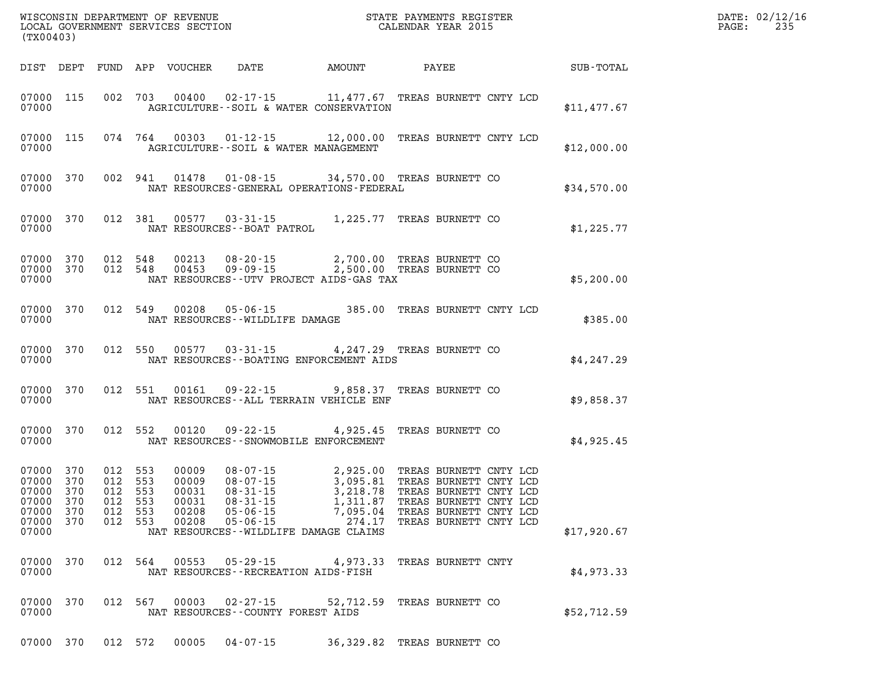| (TX00403)                                                                           |                                                     |         |                                  |                                          | WISCONSIN DEPARTMENT OF REVENUE<br>LOCAL GOVERNMENT SERVICES SECTION<br>(TYOO403) |                                                                                                                                                                                                                                                                                                                                    |  |             | DATE: 02/12/16<br>$\mathtt{PAGE}$ :<br>235 |
|-------------------------------------------------------------------------------------|-----------------------------------------------------|---------|----------------------------------|------------------------------------------|-----------------------------------------------------------------------------------|------------------------------------------------------------------------------------------------------------------------------------------------------------------------------------------------------------------------------------------------------------------------------------------------------------------------------------|--|-------------|--------------------------------------------|
|                                                                                     |                                                     |         |                                  |                                          | DIST DEPT FUND APP VOUCHER DATE AMOUNT PAYEE                                      |                                                                                                                                                                                                                                                                                                                                    |  | SUB-TOTAL   |                                            |
| 07000 115<br>07000                                                                  |                                                     |         |                                  |                                          | AGRICULTURE--SOIL & WATER CONSERVATION                                            | 002 703 00400 02-17-15 11,477.67 TREAS BURNETT CNTY LCD                                                                                                                                                                                                                                                                            |  | \$11,477.67 |                                            |
| 07000 115<br>07000                                                                  |                                                     |         |                                  | AGRICULTURE--SOIL & WATER MANAGEMENT     |                                                                                   | 074  764  00303  01-12-15  12,000.00 TREAS BURNETT CNTY LCD                                                                                                                                                                                                                                                                        |  | \$12,000.00 |                                            |
| 07000 370<br>07000                                                                  |                                                     |         |                                  |                                          | NAT RESOURCES-GENERAL OPERATIONS-FEDERAL                                          | 002 941 01478 01-08-15 34,570.00 TREAS BURNETT CO                                                                                                                                                                                                                                                                                  |  | \$34,570.00 |                                            |
| 07000 370<br>07000                                                                  |                                                     | 012 381 |                                  | NAT RESOURCES - - BOAT PATROL            |                                                                                   | 00577  03-31-15  1,225.77  TREAS BURNETT CO                                                                                                                                                                                                                                                                                        |  | \$1,225.77  |                                            |
| 07000 370<br>07000 370<br>07000                                                     |                                                     |         |                                  |                                          | NAT RESOURCES--UTV PROJECT AIDS-GAS TAX                                           | 012 548 00213 08-20-15 2,700.00 TREAS BURNETT CO<br>012 548 00453 09-09-15 2,500.00 TREAS BURNETT CO                                                                                                                                                                                                                               |  | \$5,200.00  |                                            |
| 07000 370<br>07000                                                                  |                                                     |         |                                  | NAT RESOURCES - - WILDLIFE DAMAGE        |                                                                                   | 012 549 00208 05-06-15 385.00 TREAS BURNETT CNTY LCD                                                                                                                                                                                                                                                                               |  | \$385.00    |                                            |
| 07000 370<br>07000                                                                  |                                                     |         |                                  |                                          | NAT RESOURCES - - BOATING ENFORCEMENT AIDS                                        | 012 550 00577 03-31-15 4,247.29 TREAS BURNETT CO                                                                                                                                                                                                                                                                                   |  | \$4,247.29  |                                            |
| 07000 370<br>07000                                                                  |                                                     |         |                                  |                                          | NAT RESOURCES--ALL TERRAIN VEHICLE ENF                                            | 012 551 00161 09-22-15 9,858.37 TREAS BURNETT CO                                                                                                                                                                                                                                                                                   |  | \$9,858.37  |                                            |
| 07000 370<br>07000                                                                  |                                                     | 012 552 |                                  | NAT RESOURCES - - SNOWMOBILE ENFORCEMENT |                                                                                   | 00120 09-22-15 4,925.45 TREAS BURNETT CO                                                                                                                                                                                                                                                                                           |  | \$4,925.45  |                                            |
| 07000 370<br>07000 370<br>07000 370<br>07000 370<br>07000 370<br>07000 370<br>07000 | 012 553<br>012 553<br>012 553<br>012 553<br>012 553 |         | 00009<br>00009<br>00031<br>00031 | NAT RESOURCES--WILDLIFE DAMAGE CLAIMS    |                                                                                   | 08-07-15<br>08-07-15<br>08-07-15<br>3,095.81 TREAS BURNETT CNTY LCD<br>08-31-15<br>3,218.78 TREAS BURNETT CNTY LCD<br>08-31-15<br>1,311.87 TREAS BURNETT CNTY LCD<br>05-06-15<br>7.095.04 TREAS BURNETT CNTY LCD<br>012 553 00208 05-06-15 7,095.04 TREAS BURNETT CNTY LCD<br>012 553 00208 05-06-15 274.17 TREAS BURNETT CNTY LCD |  | \$17,920.67 |                                            |
| 07000 370<br>07000                                                                  |                                                     |         |                                  | NAT RESOURCES - - RECREATION AIDS - FISH |                                                                                   | 012 564 00553 05-29-15 4,973.33 TREAS BURNETT CNTY                                                                                                                                                                                                                                                                                 |  | \$4.973.33  |                                            |
| 07000 370<br>07000                                                                  |                                                     |         |                                  | NAT RESOURCES - COUNTY FOREST AIDS       |                                                                                   | 012 567 00003 02-27-15 52,712.59 TREAS BURNETT CO                                                                                                                                                                                                                                                                                  |  | \$52,712.59 |                                            |
|                                                                                     |                                                     |         |                                  |                                          |                                                                                   | 07000 370 012 572 00005 04-07-15 36,329.82 TREAS BURNETT CO                                                                                                                                                                                                                                                                        |  |             |                                            |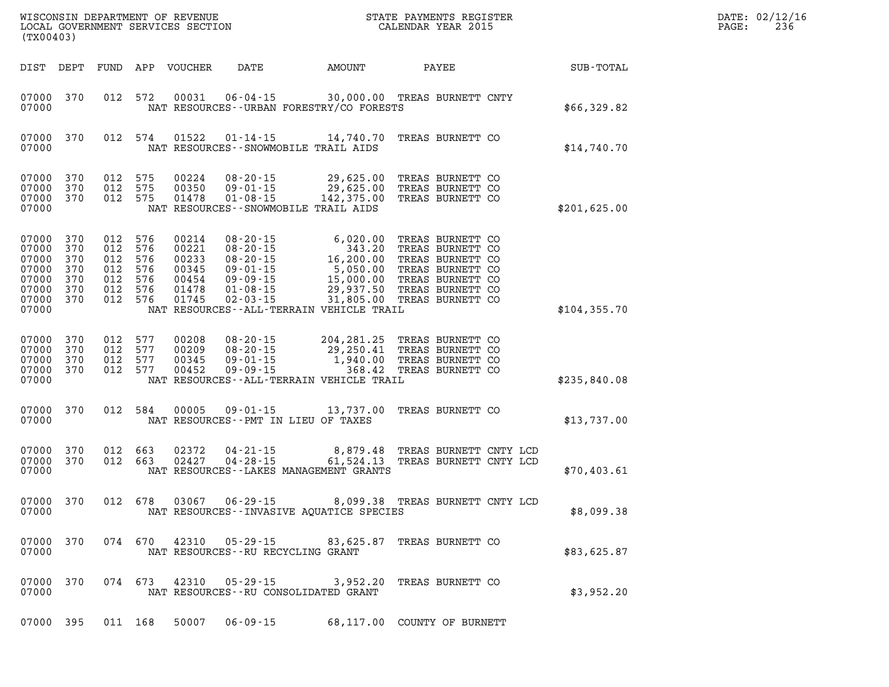| (TX00403)                                                            |                                               |                                               |                                               | WISCONSIN DEPARTMENT OF REVENUE<br>LOCAL GOVERNMENT SERVICES SECTION |                                                                                                                            |                                                                                                                                                                        | STATE PAYMENTS REGISTER<br>CALENDAR YEAR 2015                                                    |  |               | DATE: 02/12/16<br>PAGE:<br>236 |
|----------------------------------------------------------------------|-----------------------------------------------|-----------------------------------------------|-----------------------------------------------|----------------------------------------------------------------------|----------------------------------------------------------------------------------------------------------------------------|------------------------------------------------------------------------------------------------------------------------------------------------------------------------|--------------------------------------------------------------------------------------------------|--|---------------|--------------------------------|
| DIST DEPT                                                            |                                               |                                               |                                               | FUND APP VOUCHER                                                     | DATE                                                                                                                       | AMOUNT                                                                                                                                                                 | PAYEE                                                                                            |  | SUB-TOTAL     |                                |
| 07000 370<br>07000                                                   |                                               | 012                                           | 572                                           | 00031                                                                | 06-04-15                                                                                                                   | 30,000.00 TREAS BURNETT CNTY<br>NAT RESOURCES - - URBAN FORESTRY/CO FORESTS                                                                                            |                                                                                                  |  | \$66,329.82   |                                |
| 07000 370<br>07000                                                   |                                               | 012 574                                       |                                               | 01522                                                                | $01 - 14 - 15$<br>NAT RESOURCES - - SNOWMOBILE TRAIL AIDS                                                                  | 14,740.70                                                                                                                                                              | TREAS BURNETT CO                                                                                 |  | \$14,740.70   |                                |
| 07000<br>07000<br>07000<br>07000                                     | 370<br>370<br>370                             | 012<br>012<br>012 575                         | 575<br>575                                    | 00224<br>00350<br>01478                                              | $08 - 20 - 15$<br>$09 - 01 - 15$<br>$01 - 08 - 15$<br>NAT RESOURCES - - SNOWMOBILE TRAIL AIDS                              | 29,625.00<br>29,625.00<br>142,375.00                                                                                                                                   | TREAS BURNETT CO<br>TREAS BURNETT CO<br>TREAS BURNETT CO                                         |  | \$201,625.00  |                                |
| 07000<br>07000<br>07000<br>07000<br>07000<br>07000<br>07000<br>07000 | 370<br>370<br>370<br>370<br>370<br>370<br>370 | 012<br>012<br>012<br>012<br>012<br>012<br>012 | 576<br>576<br>576<br>576<br>576<br>576<br>576 | 00214<br>00221<br>00233<br>00345<br>00454<br>01478<br>01745          | $08 - 20 - 15$<br>$08 - 20 - 15$<br>$08 - 20 - 15$<br>$09 - 01 - 15$<br>$09 - 09 - 15$<br>$01 - 08 - 15$<br>$02 - 03 - 15$ | 6,020.00<br>343.20<br>16, 200.00<br>5,050.00<br>15,000.00<br>29,937.50 TREAS BURNETT CO<br>31,805.00 TREAS BURNETT CO<br>NAT RESOURCES - - ALL - TERRAIN VEHICLE TRAIL | TREAS BURNETT CO<br>TREAS BURNETT CO<br>TREAS BURNETT CO<br>TREAS BURNETT CO<br>TREAS BURNETT CO |  | \$104, 355.70 |                                |
| 07000<br>07000<br>07000<br>07000<br>07000                            | 370<br>370<br>370<br>370                      | 012<br>012<br>012<br>012                      | 577<br>577<br>577<br>577                      | 00208<br>00209<br>00345<br>00452                                     | $08 - 20 - 15$<br>$08 - 20 - 15$<br>$09 - 01 - 15$<br>$09 - 09 - 15$                                                       | 204,281.25<br>29,250.41<br>1,940.00<br>368.42<br>NAT RESOURCES--ALL-TERRAIN VEHICLE TRAIL                                                                              | TREAS BURNETT CO<br>TREAS BURNETT CO<br>TREAS BURNETT CO<br>TREAS BURNETT CO                     |  | \$235,840.08  |                                |
| 07000 370<br>07000                                                   |                                               | 012 584                                       |                                               | 00005                                                                | $09 - 01 - 15$<br>NAT RESOURCES - PMT IN LIEU OF TAXES                                                                     | 13,737.00                                                                                                                                                              | TREAS BURNETT CO                                                                                 |  | \$13,737.00   |                                |
| 07000<br>07000<br>07000                                              | 370<br>370                                    | 012 663<br>012 663                            |                                               | 02372<br>02427                                                       | $04 - 21 - 15$<br>$04 - 28 - 15$                                                                                           | 8,879.48<br>61,524.13<br>NAT RESOURCES - - LAKES MANAGEMENT GRANTS                                                                                                     | TREAS BURNETT CNTY LCD<br>TREAS BURNETT CNTY LCD                                                 |  | \$70,403.61   |                                |

|       |  |  | 07000 370 012 678 03067 06-29-15 | 8,099.38 TREAS BURNETT CNTY LCD          |  |  |            |
|-------|--|--|----------------------------------|------------------------------------------|--|--|------------|
| 07000 |  |  |                                  | NAT RESOURCES--INVASIVE AOUATICE SPECIES |  |  | \$8,099.38 |

**07000 370 074 670 42310 05-29-15 83,625.87 TREAS BURNETT CO 0700 NAT RESOURCES--RU RECYCLING GRANT \$83,625.87** 

**07000 370 074 673 42310 05-29-15 3,952.20 TREAS BURNETT CO 0700 NAT RESOURCES--RU CONSOLIDATED GRANT \$3,952.20 \$3,952.20** 

**07000 395 011 168 50007 06-09-15 68,117.00 COUNTY OF BURNETT**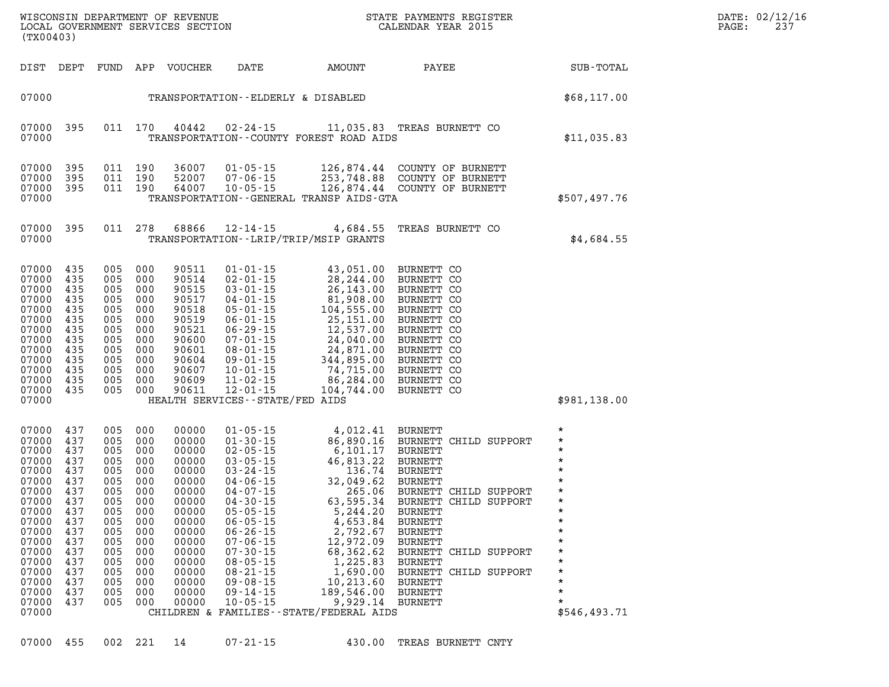| 07000 455 |  | 002 221 | $07 - 21 - 1$ |
|-----------|--|---------|---------------|
|           |  |         |               |

| (TX00403)                                                                                                                                                               |                                                                                                                            |                                                                                                                            |                                                                                                                            |                                                                                                                                                                |                                                                                                                                                                                                                                                                                                                                  |                                                                                                                                                                                                                                                                                                                                                            | WISCONSIN DEPARTMENT OF REVENUE<br>LOCAL GOVERNMENT SERVICES SECTION<br>LOCAL GOVERNMENT SERVICES SECTION<br>CALENDAR YEAR 2015                                                                                                 | $\label{eq:2.1} \frac{1}{\sqrt{2}}\int_{\mathbb{R}^3}\frac{1}{\sqrt{2}}\left(\frac{1}{\sqrt{2}}\right)^2\left(\frac{1}{\sqrt{2}}\right)^2\left(\frac{1}{\sqrt{2}}\right)^2\left(\frac{1}{\sqrt{2}}\right)^2\left(\frac{1}{\sqrt{2}}\right)^2\left(\frac{1}{\sqrt{2}}\right)^2\left(\frac{1}{\sqrt{2}}\right)^2\left(\frac{1}{\sqrt{2}}\right)^2\left(\frac{1}{\sqrt{2}}\right)^2\left(\frac{1}{\sqrt{2}}\right)^2\left(\frac{1}{\sqrt{2}}\right)^2\left(\frac$ | DATE: 02/12/16<br>237<br>PAGE: |
|-------------------------------------------------------------------------------------------------------------------------------------------------------------------------|----------------------------------------------------------------------------------------------------------------------------|----------------------------------------------------------------------------------------------------------------------------|----------------------------------------------------------------------------------------------------------------------------|----------------------------------------------------------------------------------------------------------------------------------------------------------------|----------------------------------------------------------------------------------------------------------------------------------------------------------------------------------------------------------------------------------------------------------------------------------------------------------------------------------|------------------------------------------------------------------------------------------------------------------------------------------------------------------------------------------------------------------------------------------------------------------------------------------------------------------------------------------------------------|---------------------------------------------------------------------------------------------------------------------------------------------------------------------------------------------------------------------------------|----------------------------------------------------------------------------------------------------------------------------------------------------------------------------------------------------------------------------------------------------------------------------------------------------------------------------------------------------------------------------------------------------------------------------------------------------------------|--------------------------------|
|                                                                                                                                                                         |                                                                                                                            |                                                                                                                            |                                                                                                                            | DIST DEPT FUND APP VOUCHER                                                                                                                                     | DATE                                                                                                                                                                                                                                                                                                                             | <b>EXAMPLE THE PROPERTY OF A STATE</b>                                                                                                                                                                                                                                                                                                                     | PAYEE                                                                                                                                                                                                                           | SUB-TOTAL                                                                                                                                                                                                                                                                                                                                                                                                                                                      |                                |
| 07000                                                                                                                                                                   |                                                                                                                            |                                                                                                                            |                                                                                                                            |                                                                                                                                                                | TRANSPORTATION--ELDERLY & DISABLED                                                                                                                                                                                                                                                                                               |                                                                                                                                                                                                                                                                                                                                                            | \$68,117.00                                                                                                                                                                                                                     |                                                                                                                                                                                                                                                                                                                                                                                                                                                                |                                |
| 07000<br>07000                                                                                                                                                          | 395                                                                                                                        |                                                                                                                            | 011 170                                                                                                                    | 40442                                                                                                                                                          |                                                                                                                                                                                                                                                                                                                                  | TRANSPORTATION - COUNTY FOREST ROAD AIDS                                                                                                                                                                                                                                                                                                                   | 02-24-15 11,035.83 TREAS BURNETT CO                                                                                                                                                                                             | \$11,035.83                                                                                                                                                                                                                                                                                                                                                                                                                                                    |                                |
| 07000<br>07000<br>07000<br>07000                                                                                                                                        | 395<br>395<br>395                                                                                                          | 011 190<br>011 190<br>011 190                                                                                              |                                                                                                                            | 36007<br>52007<br>64007                                                                                                                                        | $10 - 05 - 15$                                                                                                                                                                                                                                                                                                                   | TRANSPORTATION - - GENERAL TRANSP AIDS - GTA                                                                                                                                                                                                                                                                                                               | 01-05-15 126,874.44 COUNTY OF BURNETT<br>07-06-15 253,748.88 COUNTY OF BURNETT<br>10-05-15 126,874.44 COUNTY OF BURNETT                                                                                                         | \$507,497.76                                                                                                                                                                                                                                                                                                                                                                                                                                                   |                                |
| 07000<br>07000                                                                                                                                                          | 395                                                                                                                        |                                                                                                                            | 011 278                                                                                                                    | 68866                                                                                                                                                          | TRANSPORTATION - - LRIP/TRIP/MSIP GRANTS                                                                                                                                                                                                                                                                                         |                                                                                                                                                                                                                                                                                                                                                            | 12-14-15 4,684.55 TREAS BURNETT CO                                                                                                                                                                                              | \$4,684.55                                                                                                                                                                                                                                                                                                                                                                                                                                                     |                                |
| 07000<br>07000<br>07000<br>07000<br>07000<br>07000<br>07000<br>07000<br>07000<br>07000<br>07000<br>07000<br>07000<br>07000                                              | 435<br>435<br>435<br>435<br>435<br>435<br>435<br>435<br>435<br>435<br>435<br>435<br>435                                    | 005 000<br>005<br>005 000<br>005<br>005<br>005<br>005 000<br>005<br>005 000<br>005 000<br>005 000<br>005<br>005 000        | 000<br>000<br>000<br>000<br>000<br>000                                                                                     | 90511<br>90514<br>90515<br>90517<br>90518<br>90519<br>90521<br>90600<br>90601<br>90604<br>90607<br>90609<br>90611                                              | $01 - 01 - 15$<br>$02 - 01 - 15$<br>$03 - 01 - 15$<br>$04 - 01 - 15$<br>$05 - 01 - 15$<br>$06 - 01 - 15$<br>$06 - 29 - 15$<br>$07 - 01 - 15$<br>$08 - 01 - 15$<br>$09 - 01 - 15$<br>$10 - 01 - 15$<br>$11 - 02 - 15$<br>$12 - 01 - 15$<br>HEALTH SERVICES - - STATE/FED AIDS                                                     | 43,051.00<br>28,244.00<br>26,143.00<br>26,143.00<br>81,908.00<br>104,555.00<br>25,151.00<br>24,040.00<br>24,040.00<br>24,871.00<br>344,895.00<br>74,715.00<br>86,284.00<br>104,744.00                                                                                                                                                                      | BURNETT CO<br>BURNETT CO<br>BURNETT CO<br>BURNETT CO<br>BURNETT CO<br>BURNETT CO<br>BURNETT CO<br>BURNETT CO<br>BURNETT CO<br>BURNETT CO<br>BURNETT CO<br>BURNETT CO<br>BURNETT CO                                              | \$981,138.00                                                                                                                                                                                                                                                                                                                                                                                                                                                   |                                |
| 07000<br>07000<br>07000<br>07000<br>07000<br>07000<br>07000<br>07000<br>07000<br>07000<br>07000<br>07000<br>07000<br>07000<br>07000<br>07000<br>07000<br>07000<br>07000 | 437<br>437<br>437<br>437<br>437<br>437<br>437<br>437<br>437<br>437<br>437<br>437<br>437<br>437<br>437<br>437<br>437<br>437 | 005<br>005<br>005<br>005<br>005<br>005<br>005<br>005<br>005<br>005<br>005<br>005<br>005<br>005<br>005<br>005<br>005<br>005 | 000<br>000<br>000<br>000<br>000<br>000<br>000<br>000<br>000<br>000<br>000<br>000<br>000<br>000<br>000<br>000<br>000<br>000 | 00000<br>00000<br>00000<br>00000<br>00000<br>00000<br>00000<br>00000<br>00000<br>00000<br>00000<br>00000<br>00000<br>00000<br>00000<br>00000<br>00000<br>00000 | $01 - 05 - 15$<br>$01 - 30 - 15$<br>$02 - 05 - 15$<br>$03 - 05 - 15$<br>$03 - 24 - 15$<br>$04 - 06 - 15$<br>$04 - 07 - 15$<br>$04 - 30 - 15$<br>$05 - 05 - 15$<br>$06 - 05 - 15$<br>$06 - 26 - 15$<br>$07 - 06 - 15$<br>$07 - 30 - 15$<br>$08 - 05 - 15$<br>$08 - 21 - 15$<br>$09 - 08 - 15$<br>$09 - 14 - 15$<br>$10 - 05 - 15$ | 4, 012.41 BURNETT<br>86, 890.16 BURNETT<br>6, 101.17 BURNETT<br>46, 813.22 BURNETT<br>136.74 BURNETT<br>32, 049.62 BURNETT<br>265.06 BURNETT<br>63, 595.34 BURNETT<br>63,595.34<br>5,244.20<br>4,653.84<br>2,792.67<br>12,972.09<br>68,362.62<br>1,225.83<br>1,690.00<br>10,213.60<br>189,546.00<br>9,929.14<br>CHILDREN & FAMILIES - - STATE/FEDERAL AIDS | BURNETT CHILD SUPPORT<br>BURNETT CHILD SUPPORT<br>BURNETT CHILD SUPPORT<br>BURNETT<br><b>BURNETT</b><br>BURNETT<br><b>BURNETT</b><br>BURNETT CHILD SUPPORT<br>BURNETT<br>BURNETT CHILD SUPPORT<br>BURNETT<br>BURNETT<br>BURNETT | $\star$<br>$\star$<br>$\star$<br>$\star$<br>\$546,493.71                                                                                                                                                                                                                                                                                                                                                                                                       |                                |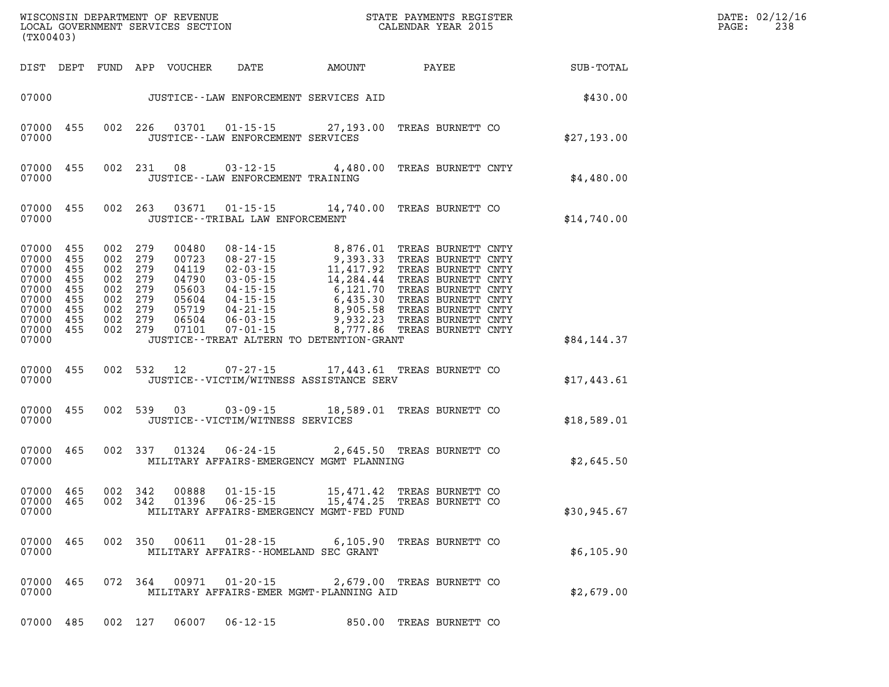| DATE: | 02/12/16 |
|-------|----------|
| PAGE: | 238      |

| (TX00403)                                                                                                  |                          |                                                                                                 |                        |                                                        |                                                                                                                                                                                                                                                                                           | STATE PAYMENTS REGISTER |                                                        | DATE: 02/12/1<br>PAGE:<br>238 |
|------------------------------------------------------------------------------------------------------------|--------------------------|-------------------------------------------------------------------------------------------------|------------------------|--------------------------------------------------------|-------------------------------------------------------------------------------------------------------------------------------------------------------------------------------------------------------------------------------------------------------------------------------------------|-------------------------|--------------------------------------------------------|-------------------------------|
|                                                                                                            |                          |                                                                                                 |                        |                                                        |                                                                                                                                                                                                                                                                                           |                         | DIST DEPT FUND APP VOUCHER DATE AMOUNT PAYEE SUB-TOTAL |                               |
|                                                                                                            |                          |                                                                                                 |                        |                                                        | 07000 JUSTICE - - LAW ENFORCEMENT SERVICES AID                                                                                                                                                                                                                                            |                         | \$430.00                                               |                               |
| 07000<br>07000                                                                                             | 455                      |                                                                                                 |                        | JUSTICE -- LAW ENFORCEMENT SERVICES                    | 002 226 03701 01-15-15 27,193.00 TREAS BURNETT CO                                                                                                                                                                                                                                         |                         | \$27,193.00                                            |                               |
| 07000 455<br>07000                                                                                         |                          |                                                                                                 | 002 231 08             | $03 - 12 - 15$<br>JUSTICE - - LAW ENFORCEMENT TRAINING | 4,480.00 TREAS BURNETT CNTY                                                                                                                                                                                                                                                               |                         | \$4,480.00                                             |                               |
| 07000 455<br>07000                                                                                         |                          |                                                                                                 | 002 263 03671          | JUSTICE - - TRIBAL LAW ENFORCEMENT                     | 01-15-15 14,740.00 TREAS BURNETT CO                                                                                                                                                                                                                                                       |                         | \$14,740.00                                            |                               |
| 07000 455<br>07000<br>07000<br>07000<br>07000 455<br>07000<br>07000 455<br>07000 455<br>07000 455<br>07000 | 455<br>455<br>455<br>455 | 002 279<br>002 279<br>002 279<br>002 279<br>002 279<br>002 279<br>002 279<br>002 279<br>002 279 |                        |                                                        | 00480 08-14-15 8,876.01 TREAS BURNETT CNTY<br>00723 08-27-15 9,393.33 TREAS BURNETT CNTY<br>04119 02-03-15 11,417.92 TREAS BURNETT CNTY<br>04790 03-05-15 14,284.44 TREAS BURNETT CNTY<br>05603 04-15-15 6,121.70 TREAS BURNETT CNTY<br><br>JUSTICE - - TREAT ALTERN TO DETENTION - GRANT |                         | \$84,144.37                                            |                               |
| 07000 455<br>07000                                                                                         |                          | 002 532 12                                                                                      |                        |                                                        | 07-27-15 17,443.61 TREAS BURNETT CO<br>JUSTICE - - VICTIM/WITNESS ASSISTANCE SERV                                                                                                                                                                                                         |                         | \$17,443.61                                            |                               |
| 07000 455<br>07000                                                                                         |                          |                                                                                                 | 002 539 03             | JUSTICE - - VICTIM/WITNESS SERVICES                    | 03-09-15 18,589.01 TREAS BURNETT CO                                                                                                                                                                                                                                                       |                         | \$18,589.01                                            |                               |
| 07000<br>07000                                                                                             | 465                      |                                                                                                 | 002 337 01324          |                                                        | 06-24-15 2,645.50 TREAS BURNETT CO<br>MILITARY AFFAIRS-EMERGENCY MGMT PLANNING                                                                                                                                                                                                            |                         | \$2,645.50                                             |                               |
| 07000 465<br>07000 465<br>07000                                                                            |                          | 002 342<br>002 342                                                                              | 01396                  | $06 - 25 - 15$                                         | 00888  01-15-15  15,471.42 TREAS BURNETT CO<br>01396  06-25-15  15,474.25 TREAS BURNETT CO<br>15,474.25 TREAS BURNETT CO<br>MILITARY AFFAIRS-EMERGENCY MGMT-FED FUND                                                                                                                      |                         | \$30,945.67                                            |                               |
| 07000                                                                                                      | 07000 465                |                                                                                                 |                        |                                                        | 002 350 00611 01-28-15 6,105.90 TREAS BURNETT CO<br>MILITARY AFFAIRS--HOMELAND SEC GRANT                                                                                                                                                                                                  |                         | \$6,105.90                                             |                               |
| 07000                                                                                                      | 07000 465                |                                                                                                 |                        |                                                        | 072  364  00971  01-20-15  2,679.00 TREAS BURNETT CO<br>MILITARY AFFAIRS-EMER MGMT-PLANNING AID                                                                                                                                                                                           |                         | \$2,679.00                                             |                               |
|                                                                                                            | 07000 485                |                                                                                                 | 002 127 06007 06-12-15 |                                                        |                                                                                                                                                                                                                                                                                           | 850.00 TREAS BURNETT CO |                                                        |                               |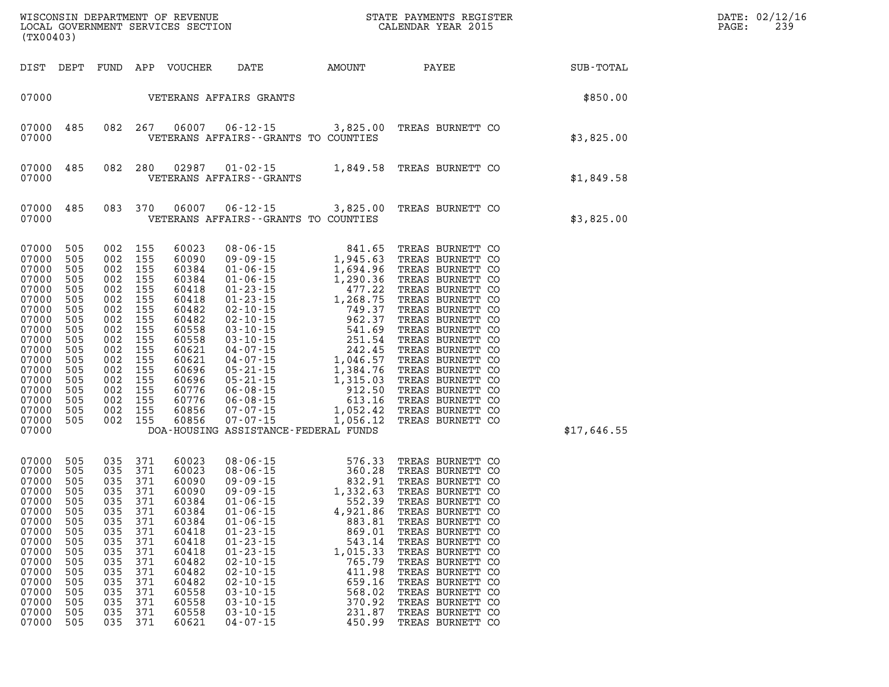| (TX00403)                                                                                                                                                                                                                                                                                          |                   |                                                                                                                                                                                                    |                                                                                                                                                                |                                                                                                                                                                                                                                                                                                                                                                                    |                                                                                                                          | WISCONSIN DEPARTMENT OF REVENUE <b>A STATE PAYMENTS REGISTER</b><br>LOCAL GOVERNMENT SERVICES SECTION <b>A STATE CALENDAR YEAR</b> 2015                                                                                                                                                                                                                              | $\mathbb{E} \mathbf{R}$ | DATE: 02/12/16<br>PAGE:<br>239 |  |
|----------------------------------------------------------------------------------------------------------------------------------------------------------------------------------------------------------------------------------------------------------------------------------------------------|-------------------|----------------------------------------------------------------------------------------------------------------------------------------------------------------------------------------------------|----------------------------------------------------------------------------------------------------------------------------------------------------------------|------------------------------------------------------------------------------------------------------------------------------------------------------------------------------------------------------------------------------------------------------------------------------------------------------------------------------------------------------------------------------------|--------------------------------------------------------------------------------------------------------------------------|----------------------------------------------------------------------------------------------------------------------------------------------------------------------------------------------------------------------------------------------------------------------------------------------------------------------------------------------------------------------|-------------------------|--------------------------------|--|
| DIST DEPT                                                                                                                                                                                                                                                                                          |                   |                                                                                                                                                                                                    |                                                                                                                                                                |                                                                                                                                                                                                                                                                                                                                                                                    |                                                                                                                          |                                                                                                                                                                                                                                                                                                                                                                      |                         |                                |  |
|                                                                                                                                                                                                                                                                                                    |                   |                                                                                                                                                                                                    |                                                                                                                                                                | 07000    VETERANS AFFAIRS GRANTS                                                                                                                                                                                                                                                                                                                                                   |                                                                                                                          |                                                                                                                                                                                                                                                                                                                                                                      |                         | \$850.00                       |  |
| 485<br>07000<br>07000                                                                                                                                                                                                                                                                              |                   | 082 267                                                                                                                                                                                            | 06007                                                                                                                                                          | VETERANS AFFAIRS -- GRANTS TO COUNTIES                                                                                                                                                                                                                                                                                                                                             |                                                                                                                          | 06-12-15 3,825.00 TREAS BURNETT CO                                                                                                                                                                                                                                                                                                                                   |                         | \$3,825.00                     |  |
| 07000<br>485<br>07000                                                                                                                                                                                                                                                                              |                   |                                                                                                                                                                                                    | 082 280 02987                                                                                                                                                  | VETERANS AFFAIRS - - GRANTS                                                                                                                                                                                                                                                                                                                                                        |                                                                                                                          | 01-02-15 1,849.58 TREAS BURNETT CO                                                                                                                                                                                                                                                                                                                                   |                         | \$1,849.58                     |  |
| 07000<br>485<br>07000                                                                                                                                                                                                                                                                              |                   |                                                                                                                                                                                                    | 083 370 06007                                                                                                                                                  | VETERANS AFFAIRS -- GRANTS TO COUNTIES                                                                                                                                                                                                                                                                                                                                             |                                                                                                                          | 06-12-15 3,825.00 TREAS BURNETT CO                                                                                                                                                                                                                                                                                                                                   |                         | \$3,825.00                     |  |
| 07000<br>505<br>07000<br>505<br>07000<br>505<br>07000<br>505<br>07000<br>505<br>07000<br>505<br>07000<br>505<br>07000<br>505<br>07000<br>505<br>07000<br>505<br>07000<br>505<br>07000<br>505<br>07000<br>505<br>07000<br>505<br>07000<br>505<br>07000<br>505<br>07000<br>505<br>07000 505<br>07000 |                   | 002 155<br>002 155<br>002 155<br>002 155<br>002 155<br>002 155<br>002 155<br>002 155<br>002 155<br>002 155<br>002 155<br>002 155<br>002 155<br>002 155<br>002 155<br>002 155<br>002 155<br>002 155 | 60023<br>60090<br>60384<br>60384<br>60418<br>60418<br>60482<br>60482<br>60558<br>60558<br>60621<br>60621<br>60696<br>60696<br>60776<br>60776<br>60856<br>60856 | $\begin{array}{cccc} 08\text{-}06\text{-}15 & 841.65 \\ 09\text{-}09\text{-}15 & 1,945.63 \\ 01\text{-}06\text{-}15 & 1,694.96 \\ 01\text{-}06\text{-}15 & 1,290.36 \\ 01\text{-}23\text{-}15 & 477.22 \\ 01\text{-}23\text{-}15 & 1,268.77 \\ 02\text{-}10\text{-}15 & 749.37 \\ 03\text{-}10\text{-}15 & 962.37 \\ 03\text{-}10\text{-}$<br>DOA-HOUSING ASSISTANCE-FEDERAL FUNDS |                                                                                                                          | TREAS BURNETT CO<br>TREAS BURNETT CO<br>TREAS BURNETT CO<br>TREAS BURNETT CO<br>TREAS BURNETT CO<br>TREAS BURNETT CO<br>TREAS BURNETT CO<br>TREAS BURNETT CO<br>TREAS BURNETT CO<br>TREAS BURNETT CO<br>TREAS BURNETT CO<br>TREAS BURNETT CO<br>TREAS BURNETT CO<br>TREAS BURNETT CO<br>TREAS BURNETT CO<br>TREAS BURNETT CO<br>TREAS BURNETT CO<br>TREAS BURNETT CO |                         | \$17,646.55                    |  |
| 07000<br>505<br>07000<br>505<br>07000<br>505<br>07000<br>505<br>07000<br>505<br>07000 505<br>505<br>07000<br>07000<br>505<br>07000<br>505<br>07000<br>505<br>07000<br>505<br>07000<br>505<br>07000<br>505<br>07000<br>505<br>07000<br>505<br>07000<br>505<br>07000 505                             | 035<br>035<br>035 | 035 371<br>035 371<br>035 371<br>035 371<br>035 371<br>035 371<br>371<br>035 371<br>371<br>035 371<br>035 371<br>035 371<br>371<br>035 371<br>035 371<br>035 371<br>035 371                        | 60023<br>60023<br>60090<br>60090<br>60384<br>60384<br>60384<br>60418<br>60418<br>60418<br>60482<br>60482<br>60482<br>60558<br>60558<br>60558<br>60621          | 08-06-15<br>08-06-15<br>09-09-15<br>09-09-15<br>01-06-15<br>01-06-15<br>01-06-15<br>01-06-15<br>01-06-15<br>01-06-15<br>01-06-15<br>01-06-15<br>01-06-15<br>$01 - 06 - 15$<br>$01 - 06 - 15$<br>$01 - 23 - 15$<br>$01 - 23 - 15$<br>$01 - 23 - 15$<br>$02 - 10 - 15$<br>$02 - 10 - 15$<br>$02 - 10 - 15$<br>$03 - 10 - 15$<br>$03 - 10 - 15$<br>$03 - 10 - 15$<br>$04 - 07 - 15$   | 4,921.86<br>883.81<br>869.01<br>543.14<br>1,015.33<br>765.79<br>411.98<br>659.16<br>568.02<br>370.92<br>231.87<br>450.99 | TREAS BURNETT CO<br>TREAS BURNETT CO<br>TREAS BURNETT CO<br>TREAS BURNETT CO<br>TREAS BURNETT CO<br>TREAS BURNETT CO<br>TREAS BURNETT CO<br>TREAS BURNETT CO<br>TREAS BURNETT CO<br>TREAS BURNETT CO<br>TREAS BURNETT CO<br>TREAS BURNETT CO<br>TREAS BURNETT CO<br>TREAS BURNETT CO<br>TREAS BURNETT CO<br>TREAS BURNETT CO<br>TREAS BURNETT CO                     |                         |                                |  |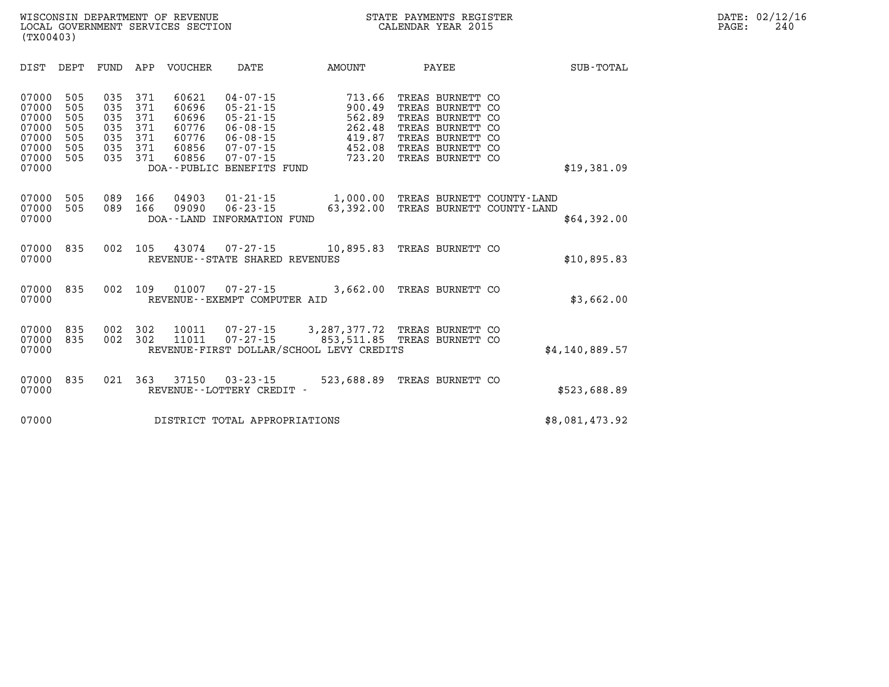| DIST                                                                 | DEPT                                          | FUND                                          | APP                                           | VOUCHER                                                     | DATE                                                                                                                                                    | AMOUNT                                                                 | PAYEE                                                                                                               |                                               | SUB-TOTAL      |
|----------------------------------------------------------------------|-----------------------------------------------|-----------------------------------------------|-----------------------------------------------|-------------------------------------------------------------|---------------------------------------------------------------------------------------------------------------------------------------------------------|------------------------------------------------------------------------|---------------------------------------------------------------------------------------------------------------------|-----------------------------------------------|----------------|
| 07000<br>07000<br>07000<br>07000<br>07000<br>07000<br>07000<br>07000 | 505<br>505<br>505<br>505<br>505<br>505<br>505 | 035<br>035<br>035<br>035<br>035<br>035<br>035 | 371<br>371<br>371<br>371<br>371<br>371<br>371 | 60621<br>60696<br>60696<br>60776<br>60776<br>60856<br>60856 | $04 - 07 - 15$<br>$05 - 21 - 15$<br>$05 - 21 - 15$<br>$06 - 08 - 15$<br>$06 - 08 - 15$<br>$07 - 07 - 15$<br>$07 - 07 - 15$<br>DOA--PUBLIC BENEFITS FUND | 713.66<br>900.49<br>562.89<br>262.48<br>419.87<br>452.08<br>723.20     | TREAS BURNETT<br>TREAS BURNETT<br>TREAS BURNETT<br>TREAS BURNETT<br>TREAS BURNETT<br>TREAS BURNETT<br>TREAS BURNETT | CO<br>CO<br>CO<br>CO<br><b>CO</b><br>CO<br>CO | \$19,381.09    |
| 07000<br>07000<br>07000                                              | 505<br>505                                    | 089<br>089                                    | 166<br>166                                    | 04903<br>09090<br>DOA - - LAND                              | $01 - 21 - 15$<br>$06 - 23 - 15$<br>INFORMATION FUND                                                                                                    | 1,000.00<br>63,392.00                                                  | TREAS BURNETT<br>TREAS BURNETT                                                                                      | COUNTY - LAND<br>COUNTY - LAND                | \$64,392.00    |
| 07000<br>07000                                                       | 835                                           | 002                                           | 105                                           | 43074                                                       | $07 - 27 - 15$<br>REVENUE - - STATE SHARED REVENUES                                                                                                     | 10,895.83                                                              | TREAS BURNETT CO                                                                                                    |                                               | \$10,895.83    |
| 07000<br>07000                                                       | 835                                           | 002                                           | 109                                           | 01007                                                       | $07 - 27 - 15$<br>REVENUE - - EXEMPT COMPUTER AID                                                                                                       | 3,662.00                                                               | TREAS BURNETT CO                                                                                                    |                                               | \$3,662.00     |
| 07000<br>07000<br>07000                                              | 835<br>835                                    | 002<br>002                                    | 302<br>302                                    | 10011<br>11011                                              | $07 - 27 - 15$<br>$07 - 27 - 15$                                                                                                                        | 3,287,377.72<br>853,511.85<br>REVENUE-FIRST DOLLAR/SCHOOL LEVY CREDITS | TREAS BURNETT<br>TREAS BURNETT CO                                                                                   | CO.                                           | \$4,140,889.57 |
| 07000<br>07000                                                       | 835                                           | 021                                           | 363                                           | 37150                                                       | $03 - 23 - 15$<br>REVENUE - - LOTTERY CREDIT -                                                                                                          | 523,688.89                                                             | TREAS BURNETT CO                                                                                                    |                                               | \$523,688.89   |
| 07000                                                                |                                               |                                               |                                               |                                                             | DISTRICT TOTAL APPROPRIATIONS                                                                                                                           |                                                                        |                                                                                                                     |                                               | \$8,081,473.92 |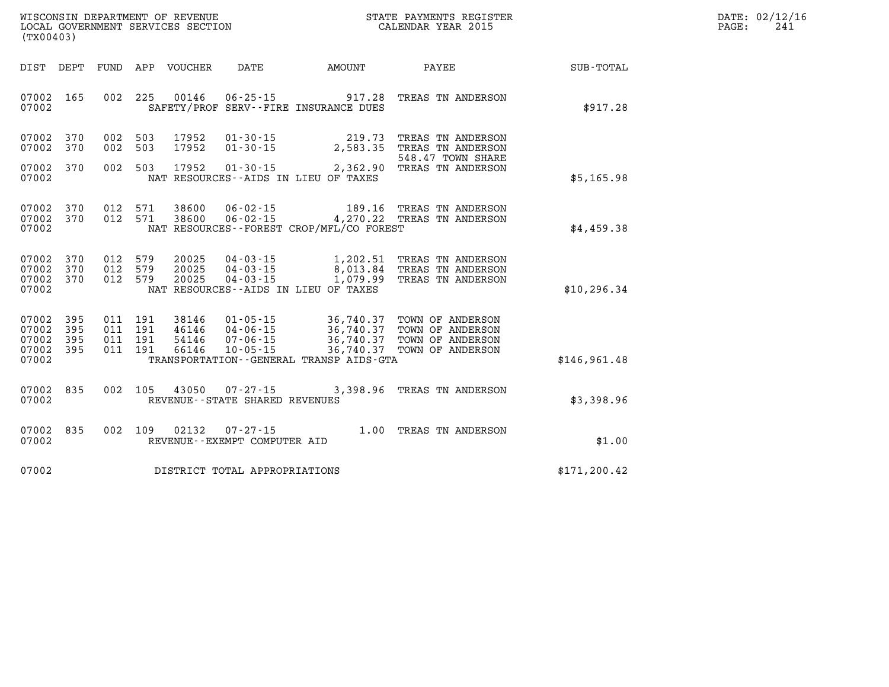| WISCONSIN DEPARTMENT OF REVENUE | PAYMENTS REGISTER<br>STATE | 02/12/16<br>DATE |
|---------------------------------|----------------------------|------------------|
| LOCAL                           |                            |                  |
| GOVERNMENT SERVICES SECTION     | CALENDAR YEAR 2015         | PAGE             |

| (TX00403)                                 |                          |                          |                          |                                  |                                                                |                                                                |                                                                                                            |               |
|-------------------------------------------|--------------------------|--------------------------|--------------------------|----------------------------------|----------------------------------------------------------------|----------------------------------------------------------------|------------------------------------------------------------------------------------------------------------|---------------|
| DIST                                      | DEPT                     | FUND                     | APP                      | VOUCHER                          | DATE                                                           | AMOUNT                                                         | PAYEE                                                                                                      | SUB-TOTAL     |
| 07002<br>07002                            | 165                      | 002                      | 225                      | 00146                            |                                                                | $06 - 25 - 15$ 917.28<br>SAFETY/PROF SERV--FIRE INSURANCE DUES | TREAS TN ANDERSON                                                                                          | \$917.28      |
| 07002<br>07002                            | 370<br>370               | 002<br>002               | 503<br>503               | 17952<br>17952                   | $01 - 30 - 15$<br>$01 - 30 - 15$                               | 219.73<br>2,583.35                                             | TREAS TN ANDERSON<br>TREAS TN ANDERSON<br>548.47 TOWN SHARE                                                |               |
| 07002<br>07002                            | 370                      | 002                      | 503                      | 17952                            |                                                                | NAT RESOURCES--AIDS IN LIEU OF TAXES                           | 01-30-15 2,362.90 TREAS TN ANDERSON                                                                        | \$5,165.98    |
| 07002<br>07002<br>07002                   | 370<br>370               | 012<br>012               | 571<br>571               | 38600<br>38600                   | 06-02-15                                                       | NAT RESOURCES - - FOREST CROP/MFL/CO FOREST                    | 189.16 TREAS TN ANDERSON<br>06-02-15 4,270.22 TREAS TN ANDERSON                                            | \$4,459.38    |
| 07002<br>07002<br>07002<br>07002          | 370<br>370<br>370        | 012<br>012<br>012        | 579<br>579<br>579        | 20025<br>20025<br>20025          | $04 - 03 - 15$<br>04-03-15<br>$04 - 03 - 15$                   | NAT RESOURCES -- AIDS IN LIEU OF TAXES                         | 1,202.51 TREAS TN ANDERSON<br>8,013.84 TREAS TN ANDERSON<br>1,079.99 TREAS TN ANDERSON                     | \$10, 296.34  |
| 07002<br>07002<br>07002<br>07002<br>07002 | 395<br>395<br>395<br>395 | 011<br>011<br>011<br>011 | 191<br>191<br>191<br>191 | 38146<br>46146<br>54146<br>66146 | $01 - 05 - 15$<br>$04 - 06 - 15$<br>07-06-15<br>$10 - 05 - 15$ | 36,740.37<br>TRANSPORTATION - - GENERAL TRANSP AIDS - GTA      | 36,740.37 TOWN OF ANDERSON<br>36,740.37 TOWN OF ANDERSON<br>36,740.37 TOWN OF ANDERSON<br>TOWN OF ANDERSON | \$146,961.48  |
| 07002<br>07002                            | 835                      | 002                      | 105                      | 43050                            | 07-27-15<br>REVENUE - - STATE SHARED REVENUES                  |                                                                | 3,398.96 TREAS TN ANDERSON                                                                                 | \$3,398.96    |
| 07002<br>07002                            | 835                      | 002                      | 109                      | 02132                            | $07 - 27 - 15$<br>REVENUE - - EXEMPT COMPUTER AID              |                                                                | 1.00 TREAS TN ANDERSON                                                                                     | \$1.00        |
| 07002                                     |                          |                          |                          |                                  | DISTRICT TOTAL APPROPRIATIONS                                  |                                                                |                                                                                                            | \$171, 200.42 |

WISCONSIN DEPARTMENT OF REVENUE **STATE PAYMENTS REGISTER**<br>LOCAL GOVERNMENT SERVICES SECTION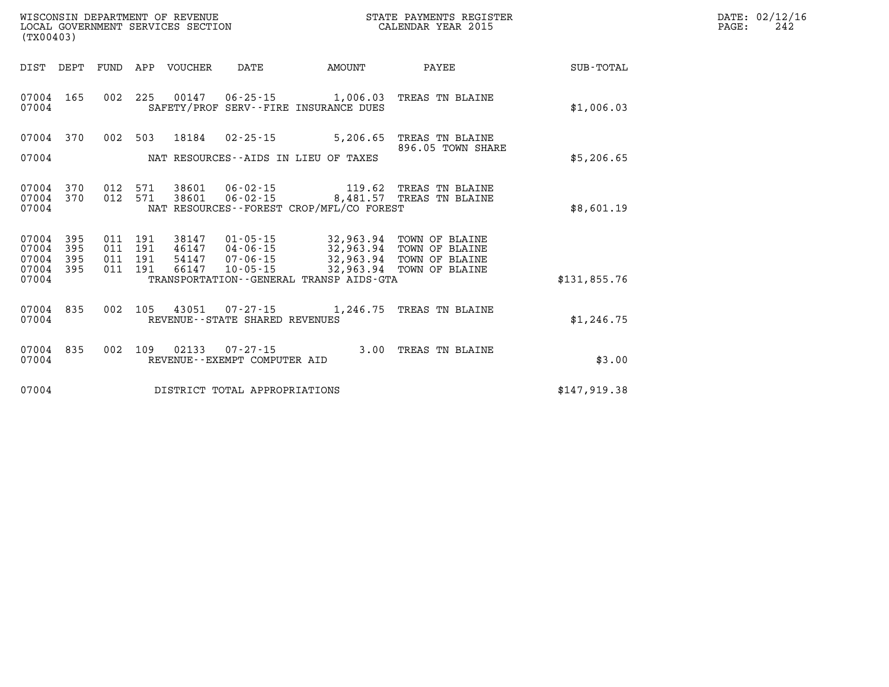| (TX00403)                                 |                          |                               | WISCONSIN DEPARTMENT OF REVENUE<br>LOCAL GOVERNMENT SERVICES SECTION |                                |                                                                                                                                                                                                                                           | STATE PAYMENTS REGISTER<br>CALENDAR YEAR 2015                                                                        |              | DATE: 02/12/16<br>$\mathtt{PAGE:}$<br>242 |
|-------------------------------------------|--------------------------|-------------------------------|----------------------------------------------------------------------|--------------------------------|-------------------------------------------------------------------------------------------------------------------------------------------------------------------------------------------------------------------------------------------|----------------------------------------------------------------------------------------------------------------------|--------------|-------------------------------------------|
|                                           |                          |                               | DIST DEPT FUND APP VOUCHER DATE                                      |                                | <b>AMOUNT</b>                                                                                                                                                                                                                             | <b>PAYEE</b>                                                                                                         | SUB-TOTAL    |                                           |
| 07004                                     |                          |                               |                                                                      |                                | SAFETY/PROF SERV--FIRE INSURANCE DUES                                                                                                                                                                                                     | 07004 165 002 225 00147 06-25-15 1,006.03 TREAS TN BLAINE                                                            | \$1,006.03   |                                           |
|                                           |                          |                               |                                                                      |                                |                                                                                                                                                                                                                                           | 07004 370 002 503 18184 02-25-15 5,206.65 TREAS TN BLAINE<br>896.05 TOWN SHARE                                       |              |                                           |
| 07004                                     |                          |                               |                                                                      |                                | NAT RESOURCES--AIDS IN LIEU OF TAXES                                                                                                                                                                                                      |                                                                                                                      | \$5,206.65   |                                           |
| 07004                                     |                          |                               |                                                                      |                                | NAT RESOURCES - - FOREST CROP/MFL/CO FOREST                                                                                                                                                                                               | 07004 370 012 571 38601 06-02-15 119.62 TREAS TN BLAINE<br>07004 370 012 571 38601 06-02-15 8,481.57 TREAS TN BLAINE | \$8,601.19   |                                           |
| 07004<br>07004<br>07004<br>07004<br>07004 | 395<br>395<br>395<br>395 | 011 191<br>011 191<br>011 191 |                                                                      |                                | 011  191  38147  01-05-15  32,963.94  TOWN OF BLAINE<br>46147  04-06-15  32,963.94  TOWN OF BLAINE<br>54147  07-06-15  32,963.94  TOWN OF BLAINE<br>66147  10-05-15  32,963.94  TOWN OF BLAINE<br>TRANSPORTATION--GENERAL TRANSP AIDS-GTA |                                                                                                                      | \$131,855.76 |                                           |
| 07004                                     |                          |                               |                                                                      | REVENUE--STATE SHARED REVENUES |                                                                                                                                                                                                                                           | 07004 835 002 105 43051 07-27-15 1,246.75 TREAS TN BLAINE                                                            | \$1,246.75   |                                           |
| 07004                                     |                          |                               |                                                                      | REVENUE--EXEMPT COMPUTER AID   |                                                                                                                                                                                                                                           | 07004 835 002 109 02133 07-27-15 3.00 TREAS TN BLAINE                                                                | \$3.00       |                                           |
| 07004                                     |                          |                               |                                                                      | DISTRICT TOTAL APPROPRIATIONS  |                                                                                                                                                                                                                                           |                                                                                                                      | \$147,919.38 |                                           |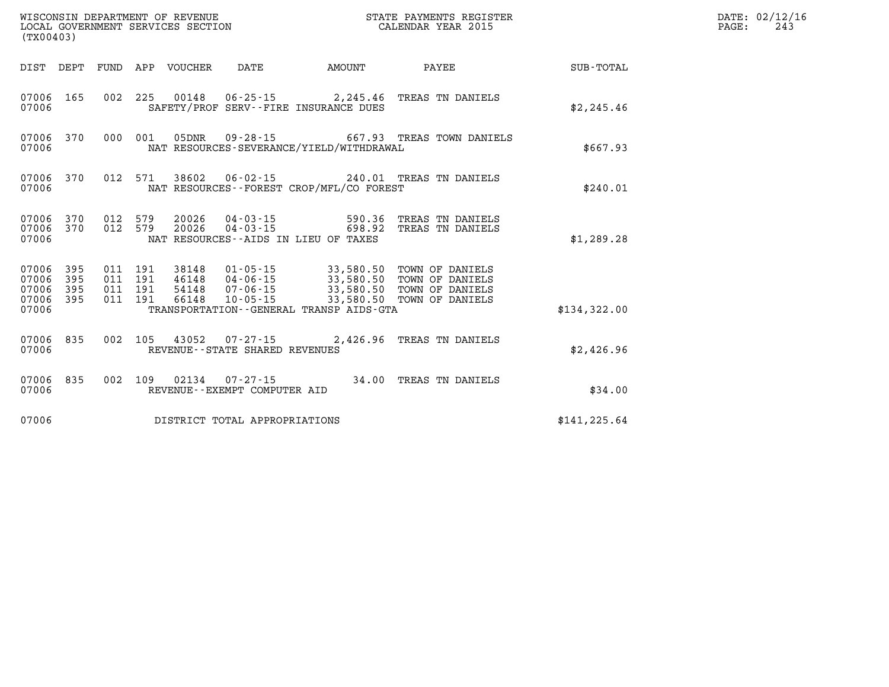| (TX00403)                                         |                        |  |                  |                                   |                                             |                                                                                                                                                                                                                   |               | DATE: 02/12/16<br>$\mathtt{PAGE}$ :<br>243 |
|---------------------------------------------------|------------------------|--|------------------|-----------------------------------|---------------------------------------------|-------------------------------------------------------------------------------------------------------------------------------------------------------------------------------------------------------------------|---------------|--------------------------------------------|
|                                                   | DIST DEPT              |  | FUND APP VOUCHER | DATE                              |                                             | AMOUNT PAYEE                                                                                                                                                                                                      | SUB-TOTAL     |                                            |
| 07006 165<br>07006                                |                        |  |                  |                                   | SAFETY/PROF SERV--FIRE INSURANCE DUES       | 002 225 00148 06-25-15 2,245.46 TREAS TN DANIELS                                                                                                                                                                  | \$2,245.46    |                                            |
| 07006                                             | 07006 370              |  |                  |                                   | NAT RESOURCES-SEVERANCE/YIELD/WITHDRAWAL    | 000 001 05DNR 09-28-15 667.93 TREAS TOWN DANIELS                                                                                                                                                                  | \$667.93      |                                            |
| 07006                                             | 07006 370              |  |                  |                                   | NAT RESOURCES - - FOREST CROP/MFL/CO FOREST | 012 571 38602 06-02-15 240.01 TREAS TN DANIELS                                                                                                                                                                    | \$240.01      |                                            |
| 07006                                             | 07006 370<br>07006 370 |  |                  |                                   | NAT RESOURCES -- AIDS IN LIEU OF TAXES      | 012 579 20026 04-03-15 590.36 TREAS TN DANIELS<br>012 579 20026 04-03-15 698.92 TREAS TN DANIELS                                                                                                                  | \$1,289.28    |                                            |
| 07006<br>07006<br>07006 395<br>07006 395<br>07006 | 395<br>395             |  |                  |                                   | TRANSPORTATION--GENERAL TRANSP AIDS-GTA     | 011  191  38148  01-05-15  33,580.50  TOWN OF DANIELS<br>011 191 46148 04-06-15 33,580.50 TOWN OF DANIELS<br>011 191 54148 07-06-15 33,580.50 TOWN OF DANIELS<br>011 191 66148 10-05-15 33,580.50 TOWN OF DANIELS | \$134,322.00  |                                            |
| 07006                                             | 07006 835              |  |                  | REVENUE - - STATE SHARED REVENUES |                                             | 002 105 43052 07-27-15 2,426.96 TREAS TN DANIELS                                                                                                                                                                  | \$2,426.96    |                                            |
| 07006                                             | 07006 835              |  |                  | REVENUE--EXEMPT COMPUTER AID      |                                             | 002 109 02134 07-27-15 34.00 TREAS TN DANIELS                                                                                                                                                                     | \$34.00       |                                            |
| 07006                                             |                        |  |                  | DISTRICT TOTAL APPROPRIATIONS     |                                             |                                                                                                                                                                                                                   | \$141, 225.64 |                                            |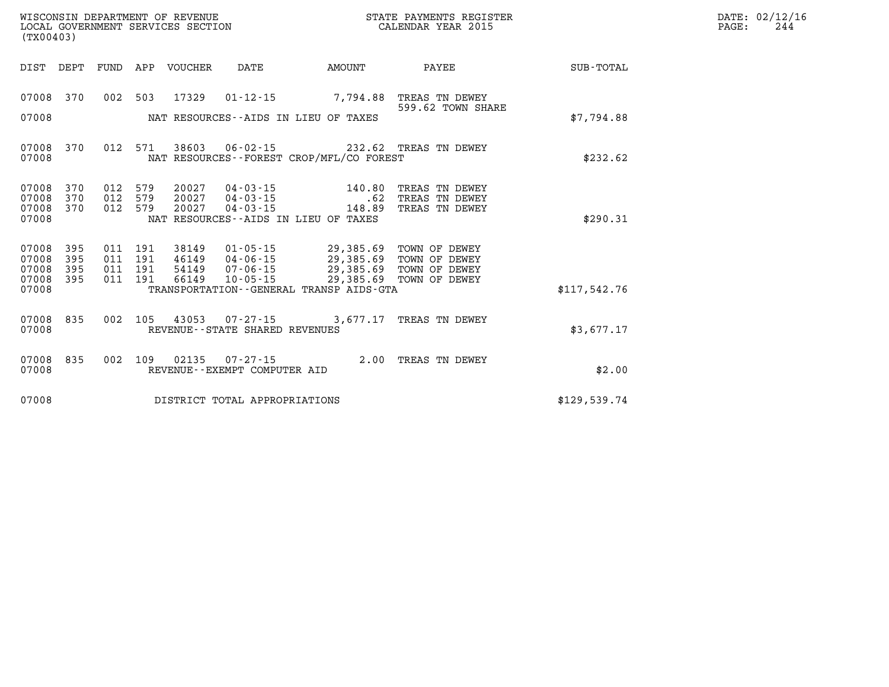| WISCONSIN DEPARTMENT OF REVENUE   | STATE PAYMENTS REGISTER | DATE: | : 02/12/16 |
|-----------------------------------|-------------------------|-------|------------|
| LOCAL GOVERNMENT SERVICES SECTION | CALENDAR YEAR 2015      | PAGE  | -24.       |

| (TX00403)                                 |                          |                           |                                      | LOCAL GOVERNMENT SERVICES SECTION |                                   |                                                                                                                                                                                | CALENDAR YEAR 2015                                                                             |                        | PAGE: | 244 |
|-------------------------------------------|--------------------------|---------------------------|--------------------------------------|-----------------------------------|-----------------------------------|--------------------------------------------------------------------------------------------------------------------------------------------------------------------------------|------------------------------------------------------------------------------------------------|------------------------|-------|-----|
| DIST DEPT                                 |                          |                           |                                      | FUND APP VOUCHER                  | DATE                              |                                                                                                                                                                                |                                                                                                | AMOUNT PAYEE SUB-TOTAL |       |     |
| 07008 370                                 |                          |                           |                                      | 002 503 17329                     |                                   | 01-12-15 7,794.88 TREAS TN DEWEY                                                                                                                                               | 599.62 TOWN SHARE                                                                              |                        |       |     |
| 07008                                     |                          |                           |                                      |                                   |                                   | NAT RESOURCES--AIDS IN LIEU OF TAXES                                                                                                                                           |                                                                                                | \$7,794.88             |       |     |
| 07008<br>07008                            | 370                      |                           | 012 571                              |                                   |                                   | 38603 06-02-15 232.62 TREAS TN DEWEY<br>NAT RESOURCES - - FOREST CROP/MFL/CO FOREST                                                                                            |                                                                                                | \$232.62               |       |     |
| 07008<br>07008<br>07008<br>07008          | 370<br>370<br>370        | 012 579<br>012<br>012 579 | 579                                  | 20027<br>20027<br>20027           |                                   | NAT RESOURCES--AIDS IN LIEU OF TAXES                                                                                                                                           | 04-03-15 140.80 TREAS TN DEWEY<br>04-03-15 62 TREAS TN DEWEY<br>04-03-15 148.89 TREAS TN DEWEY | \$290.31               |       |     |
| 07008<br>07008<br>07008<br>07008<br>07008 | 395<br>395<br>395<br>395 | 011                       | 011 191<br>011 191<br>191<br>011 191 | 38149<br>46149<br>54149<br>66149  | $10 - 05 - 15$                    | 01-05-15 29,385.69 TOWN OF DEWEY<br>04-06-15 29,385.69 TOWN OF DEWEY<br>07-06-15 29,385.69 TOWN OF DEWEY<br>29,385.69 TOWN OF DEWEY<br>TRANSPORTATION--GENERAL TRANSP AIDS-GTA |                                                                                                | \$117,542.76           |       |     |
| 07008<br>07008                            | 835                      |                           | 002 105                              |                                   | REVENUE - - STATE SHARED REVENUES | 43053 07-27-15 3,677.17 TREAS TN DEWEY                                                                                                                                         |                                                                                                | \$3,677.17             |       |     |
| 07008 835<br>07008                        |                          |                           |                                      | 002 109 02135                     | REVENUE--EXEMPT COMPUTER AID      | 07-27-15 2.00 TREAS TN DEWEY                                                                                                                                                   |                                                                                                | \$2.00                 |       |     |
| 07008                                     |                          |                           |                                      |                                   | DISTRICT TOTAL APPROPRIATIONS     |                                                                                                                                                                                |                                                                                                | \$129,539.74           |       |     |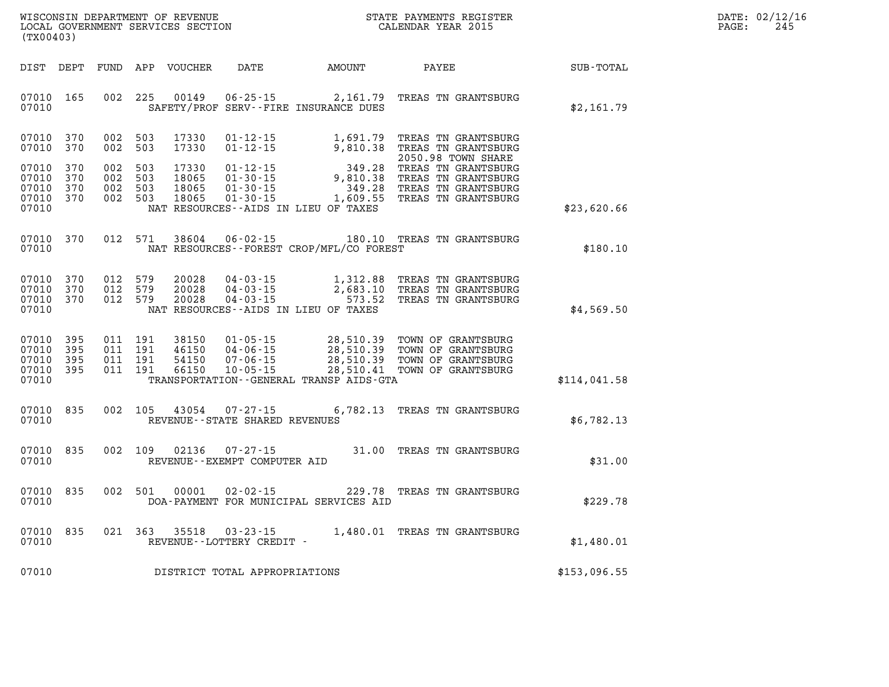| WISCONSIN DEPARTMENT OF REVENUE   | STATE PAYMENTS REGISTER | DATE: 02/12/16 |
|-----------------------------------|-------------------------|----------------|
| LOCAL GOVERNMENT SERVICES SECTION | CALENDAR YEAR 2015      | 24:<br>PAGE:   |

| (TX00403)                                 |                          |                   |                                          | LOCAL GOVERNMENT SERVICES SECTION |                                                |                                              | CALENDAR YEAR 2015                                                                                                                                                                 |              | PAGE: | 245 |
|-------------------------------------------|--------------------------|-------------------|------------------------------------------|-----------------------------------|------------------------------------------------|----------------------------------------------|------------------------------------------------------------------------------------------------------------------------------------------------------------------------------------|--------------|-------|-----|
|                                           |                          |                   |                                          |                                   |                                                | DIST DEPT FUND APP VOUCHER DATE AMOUNT PAYEE |                                                                                                                                                                                    | SUB-TOTAL    |       |     |
| 07010 165<br>07010                        |                          |                   | 002 225                                  | 00149                             |                                                | SAFETY/PROF SERV--FIRE INSURANCE DUES        | 06-25-15 2,161.79 TREAS TN GRANTSBURG                                                                                                                                              | \$2,161.79   |       |     |
| 07010 370<br>07010                        | 370                      | 002               | 002 503<br>503                           | 17330<br>17330                    |                                                |                                              | 01-12-15 1,691.79 TREAS TN GRANTSBURG<br>01-12-15 9,810.38 TREAS TN GRANTSBURG<br>2050.98 TOWN SHARE                                                                               |              |       |     |
| 07010<br>07010<br>07010<br>07010          | 370<br>370<br>370<br>370 | 002<br>002<br>002 | 503<br>503<br>503<br>002 503             | 17330<br>18065<br>18065<br>18065  |                                                |                                              | 2050.98 TOWN SHARE<br>01-12-15 349.28 TREAS TN GRANTSBURG<br>01-30-15 9,810.38 TREAS TN GRANTSBURG<br>01-30-15 349.28 TREAS TN GRANTSBURG<br>01-30-15 1,609.55 TREAS TN GRANTSBURG |              |       |     |
| 07010                                     |                          |                   |                                          |                                   |                                                | NAT RESOURCES -- AIDS IN LIEU OF TAXES       |                                                                                                                                                                                    | \$23,620.66  |       |     |
| 07010<br>07010                            | 370                      |                   | 012 571                                  | 38604                             |                                                | NAT RESOURCES--FOREST CROP/MFL/CO FOREST     | 06-02-15 180.10 TREAS TN GRANTSBURG                                                                                                                                                | \$180.10     |       |     |
| 07010<br>07010<br>07010<br>07010          | 370<br>370<br>370        |                   | 012 579<br>012 579<br>012 579            | 20028<br>20028<br>20028           |                                                | NAT RESOURCES -- AIDS IN LIEU OF TAXES       | 04-03-15 1,312.88 TREAS TN GRANTSBURG<br>04-03-15 2,683.10 TREAS TN GRANTSBURG<br>04-03-15 573.52 TREAS TN GRANTSBURG                                                              | \$4,569.50   |       |     |
| 07010<br>07010<br>07010<br>07010<br>07010 | 395<br>395<br>395<br>395 |                   | 011 191<br>011 191<br>011 191<br>011 191 | 38150<br>46150<br>54150<br>66150  |                                                | TRANSPORTATION - - GENERAL TRANSP AIDS - GTA | 01-05-15 28,510.39 TOWN OF GRANTSBURG<br>04-06-15 28,510.39 TOWN OF GRANTSBURG<br>07-06-15 28,510.39 TOWN OF GRANTSBURG<br>10-05-15 28,510.41 TOWN OF GRANTSBURG                   | \$114,041.58 |       |     |
| 07010 835<br>07010                        |                          |                   |                                          | 002 105 43054                     | REVENUE - - STATE SHARED REVENUES              |                                              | 07-27-15 6,782.13 TREAS TN GRANTSBURG                                                                                                                                              | \$6,782.13   |       |     |
| 07010<br>07010                            | 835                      |                   | 002 109                                  | 02136                             | $07 - 27 - 15$<br>REVENUE--EXEMPT COMPUTER AID |                                              | 31.00 TREAS TN GRANTSBURG                                                                                                                                                          | \$31.00      |       |     |
| 07010<br>07010                            | 835                      |                   | 002 501                                  | 00001                             | $02 - 02 - 15$                                 | DOA-PAYMENT FOR MUNICIPAL SERVICES AID       | 229.78 TREAS TN GRANTSBURG                                                                                                                                                         | \$229.78     |       |     |
| 07010 835<br>07010                        |                          |                   | 021 363                                  | 35518                             | $03 - 23 - 15$<br>REVENUE--LOTTERY CREDIT -    |                                              | 1,480.01 TREAS TN GRANTSBURG                                                                                                                                                       | \$1,480.01   |       |     |
| 07010                                     |                          |                   |                                          |                                   | DISTRICT TOTAL APPROPRIATIONS                  |                                              |                                                                                                                                                                                    | \$153,096.55 |       |     |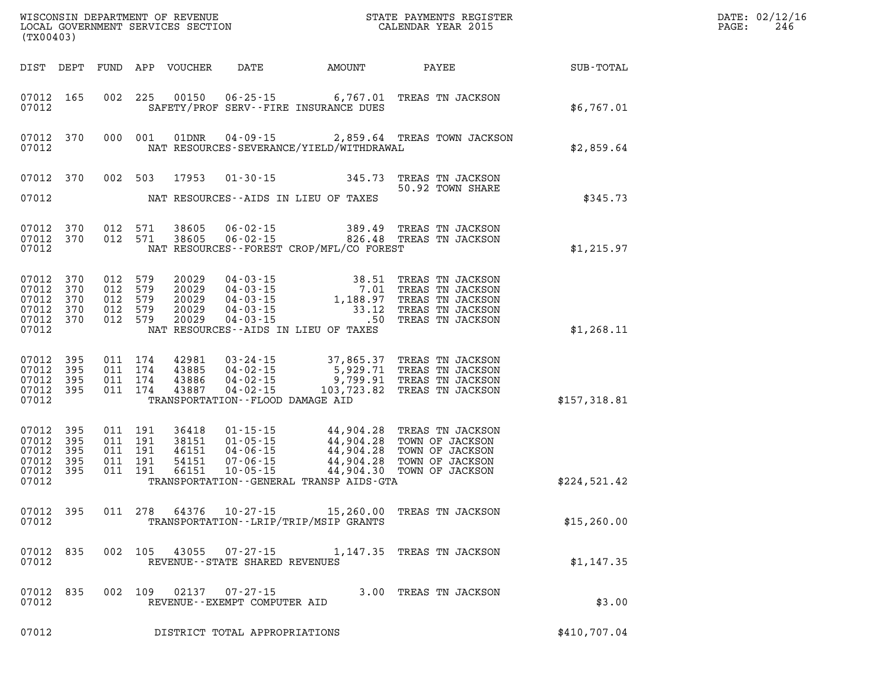| (TX00403)                                                 |                                     |         |                                                     |                                           |                                                        | STATE PAYMENTS REGISTER                  |                                                                                                                                                                                                                                              |              | DATE: 02/12/16<br>$\mathtt{PAGE}$ :<br>246 |
|-----------------------------------------------------------|-------------------------------------|---------|-----------------------------------------------------|-------------------------------------------|--------------------------------------------------------|------------------------------------------|----------------------------------------------------------------------------------------------------------------------------------------------------------------------------------------------------------------------------------------------|--------------|--------------------------------------------|
|                                                           | DIST DEPT                           |         |                                                     | FUND APP VOUCHER                          |                                                        |                                          | DATE AMOUNT PAYEE                                                                                                                                                                                                                            | SUB-TOTAL    |                                            |
| 07012                                                     | 07012 165                           |         | 002 225                                             |                                           |                                                        | SAFETY/PROF SERV--FIRE INSURANCE DUES    | 00150  06-25-15  6,767.01  TREAS TN JACKSON                                                                                                                                                                                                  | \$6,767.01   |                                            |
| 07012                                                     | 07012 370                           |         | 000 001                                             | 01DNR                                     |                                                        | NAT RESOURCES-SEVERANCE/YIELD/WITHDRAWAL | 04-09-15 2,859.64 TREAS TOWN JACKSON                                                                                                                                                                                                         | \$2,859.64   |                                            |
| 07012                                                     | 07012 370                           |         | 002 503                                             |                                           |                                                        | NAT RESOURCES--AIDS IN LIEU OF TAXES     | 17953  01-30-15  345.73  TREAS TN JACKSON<br>50.92 TOWN SHARE                                                                                                                                                                                | \$345.73     |                                            |
| 07012                                                     | 07012 370<br>07012 370              |         | 012 571<br>012 571                                  | 38605<br>38605                            |                                                        | NAT RESOURCES--FOREST CROP/MFL/CO FOREST |                                                                                                                                                                                                                                              | \$1,215.97   |                                            |
| 07012 370<br>07012 370<br>07012                           | 07012 370<br>07012 370<br>07012 370 | 012 579 | 012 579<br>012 579<br>012 579<br>012 579            | 20029<br>20029<br>20029<br>20029<br>20029 |                                                        | NAT RESOURCES -- AIDS IN LIEU OF TAXES   | 04 - 03 - 15<br>04 - 03 - 15<br>04 - 03 - 15<br>04 - 03 - 15<br>04 - 03 - 15<br>04 - 03 - 15<br>04 - 03 - 15<br>04 - 03 - 15<br>04 - 03 - 15<br>04 - 03 - 15<br>04 - 03 - 15<br>04 - 03 - 15<br>04 - 03 - 15<br>04 - 03 - 15<br>04 - 03 - 15 | \$1,268.11   |                                            |
| 07012 395<br>07012 395<br>07012                           | 07012 395<br>07012 395              | 011 174 | 011 174<br>011 174<br>011 174                       | 42981<br>43885<br>43886<br>43887          | TRANSPORTATION--FLOOD DAMAGE AID                       |                                          | 03-24-15 37,865.37 TREAS TN JACKSON<br>04-02-15 5,929.71 TREAS TN JACKSON<br>04-02-15 9,799.91 TREAS TN JACKSON<br>04-02-15 103,723.82 TREAS TN JACKSON                                                                                      | \$157,318.81 |                                            |
| 07012 395<br>07012 395<br>07012 395<br>07012 395<br>07012 | 07012 395                           |         | 011 191<br>011 191<br>011 191<br>011 191<br>011 191 | 36418<br>38151<br>46151<br>54151<br>66151 |                                                        | TRANSPORTATION--GENERAL TRANSP AIDS-GTA  | 01-15-15<br>01-05-15<br>04.904.28 TOWN OF JACKSON<br>04-06-15<br>07-06-15<br>07-06-15<br>07-05-15<br>04.904.28 TOWN OF JACKSON<br>07-05-15<br>04.904.28 TOWN OF JACKSON<br>07-05-15<br>04.904.30 TOWN OF JACKSON                             | \$224,521.42 |                                            |
| 07012                                                     |                                     |         |                                                     |                                           |                                                        | TRANSPORTATION - - LRIP/TRIP/MSIP GRANTS | 07012 395 011 278 64376 10-27-15 15,260.00 TREAS TN JACKSON                                                                                                                                                                                  | \$15, 260.00 |                                            |
| 07012                                                     | 07012 835                           |         | 002 105                                             |                                           | 43055 07-27-15<br>REVENUE - - STATE SHARED REVENUES    |                                          | 1,147.35 TREAS TN JACKSON                                                                                                                                                                                                                    | \$1,147.35   |                                            |
| 07012                                                     | 07012 835                           |         | 002 109                                             |                                           | $02137$ $07 - 27 - 15$<br>REVENUE--EXEMPT COMPUTER AID |                                          | 3.00 TREAS TN JACKSON                                                                                                                                                                                                                        | \$3.00       |                                            |
| 07012                                                     |                                     |         |                                                     |                                           | DISTRICT TOTAL APPROPRIATIONS                          |                                          |                                                                                                                                                                                                                                              | \$410,707.04 |                                            |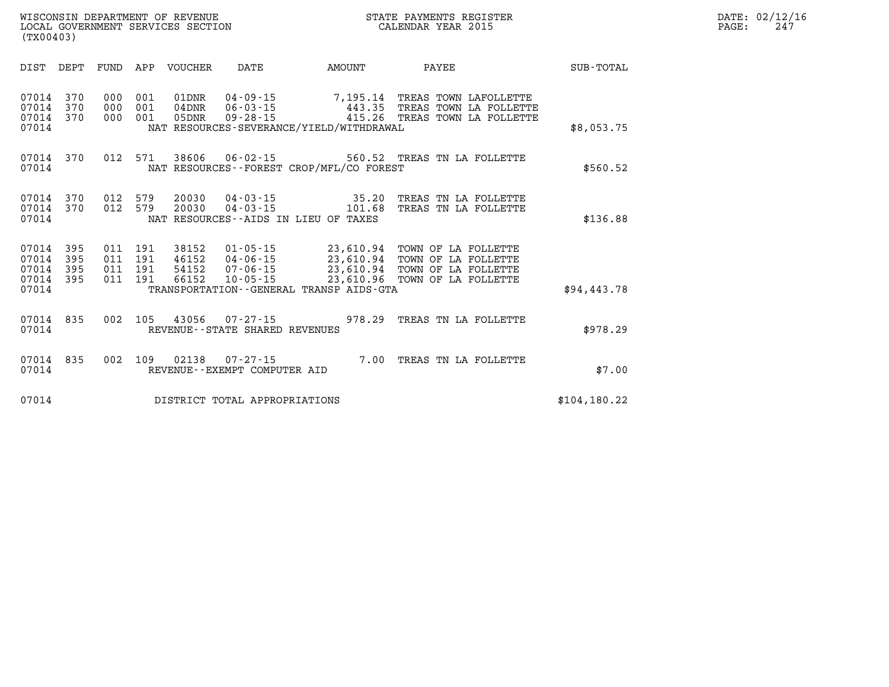| (TX00403)                        |                   |                   |                   | WISCONSIN DEPARTMENT OF REVENUE<br>LOCAL GOVERNMENT SERVICES SECTION |                                                    |                                                                          | STATE PAYMENTS REGISTER<br>CALENDAR YEAR 2015                             |            | DATE: 02/12/16<br>247<br>PAGE: |
|----------------------------------|-------------------|-------------------|-------------------|----------------------------------------------------------------------|----------------------------------------------------|--------------------------------------------------------------------------|---------------------------------------------------------------------------|------------|--------------------------------|
| DIST                             | DEPT              | FUND              | APP               | VOUCHER                                                              | DATE                                               | <b>AMOUNT</b>                                                            | PAYEE                                                                     | SUB-TOTAL  |                                |
| 07014<br>07014<br>07014<br>07014 | 370<br>370<br>370 | 000<br>000<br>000 | 001<br>001<br>001 | 01DNR<br>$04$ DNR<br>05DNR                                           | $04 - 09 - 15$<br>$06 - 03 - 15$<br>$09 - 28 - 15$ | 7,195.14<br>443.35<br>415.26<br>NAT RESOURCES-SEVERANCE/YIELD/WITHDRAWAL | TREAS TOWN LAFOLLETTE<br>TREAS TOWN LA FOLLETTE<br>TREAS TOWN LA FOLLETTE | \$8,053.75 |                                |

| 07014<br>07014<br>07014<br>07014          | 370<br>370<br>370        | 000<br>000<br>000        | 001<br>001<br>001        | 01DNR<br>04DNR<br>05DNR          | $04 - 09 - 15$<br>$06 - 03 - 15$<br>$09 - 28 - 15$                   | 7,195.14<br>443.35<br>415.26<br>NAT RESOURCES-SEVERANCE/YIELD/WITHDRAWAL                    | TREAS TOWN LAFOLLETTE<br>TREAS TOWN LA FOLLETTE<br>TREAS TOWN LA FOLLETTE                      | \$8,053.75    |
|-------------------------------------------|--------------------------|--------------------------|--------------------------|----------------------------------|----------------------------------------------------------------------|---------------------------------------------------------------------------------------------|------------------------------------------------------------------------------------------------|---------------|
| 07014<br>07014                            | 370                      | 012                      | 571                      | 38606                            | $06 - 02 - 15$                                                       | 560.52<br>NAT RESOURCES--FOREST CROP/MFL/CO FOREST                                          | TREAS TN LA FOLLETTE                                                                           | \$560.52      |
| 07014<br>07014<br>07014                   | 370<br>370               | 012<br>012               | 579<br>579               | 20030<br>20030                   | $04 - 03 - 15$<br>$04 - 03 - 15$                                     | 35.20<br>101.68<br>NAT RESOURCES -- AIDS IN LIEU OF TAXES                                   | TREAS TN LA FOLLETTE<br>TREAS TN LA FOLLETTE                                                   | \$136.88      |
| 07014<br>07014<br>07014<br>07014<br>07014 | 395<br>395<br>395<br>395 | 011<br>011<br>011<br>011 | 191<br>191<br>191<br>191 | 38152<br>46152<br>54152<br>66152 | $01 - 05 - 15$<br>$04 - 06 - 15$<br>$07 - 06 - 15$<br>$10 - 05 - 15$ | 23,610.94<br>23,610.94<br>23,610.94<br>23,610.96<br>TRANSPORTATION--GENERAL TRANSP AIDS-GTA | TOWN OF LA FOLLETTE<br>TOWN OF LA FOLLETTE<br>TOWN OF<br>LA FOLLETTE<br>TOWN OF<br>LA FOLLETTE | \$94,443.78   |
| 07014<br>07014                            | 835                      | 002                      | 105                      | 43056                            | $07 - 27 - 15$<br>REVENUE--STATE SHARED REVENUES                     | 978.29                                                                                      | TREAS TN LA FOLLETTE                                                                           | \$978.29      |
| 07014<br>07014                            | 835                      | 002                      | 109                      | 02138                            | $07 - 27 - 15$<br>REVENUE--EXEMPT COMPUTER AID                       | 7.00                                                                                        | TREAS TN LA FOLLETTE                                                                           | \$7.00        |
| 07014                                     |                          |                          |                          |                                  | DISTRICT TOTAL APPROPRIATIONS                                        |                                                                                             |                                                                                                | \$104, 180.22 |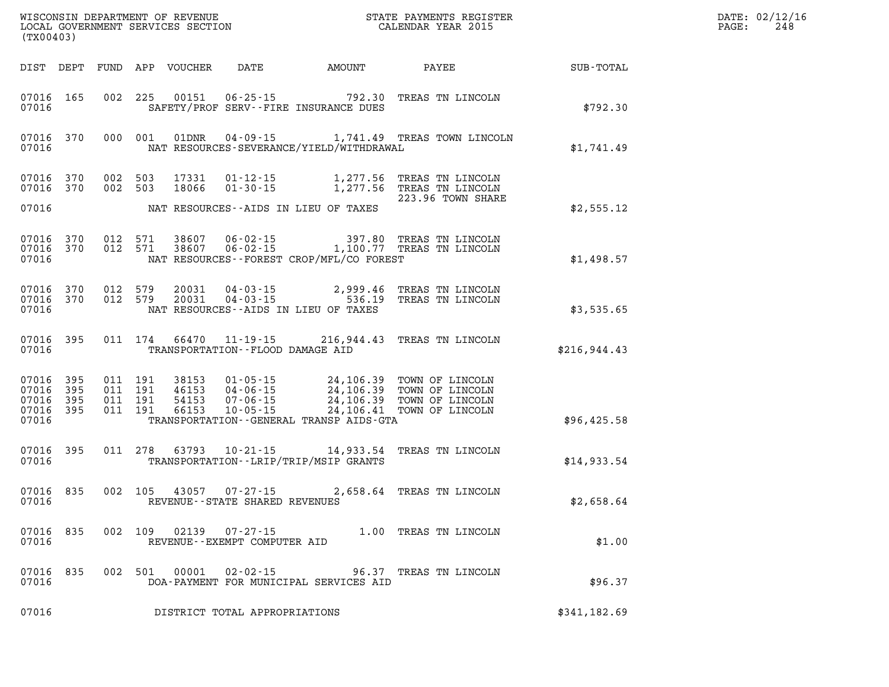| (TX00403)                                         |            |                               |         |                |                                                  | WISCONSIN DEPARTMENT OF REVENUE                             STATE PAYMENTS REGIST LOCAL GOVERNMENT SERVICES SECTION                                     CALENDAR YEAR 2015 | STATE PAYMENTS REGISTER                                                                                                                                                                  | DATE: 02/12/16<br>$\mathtt{PAGE}$ :<br>248 |  |
|---------------------------------------------------|------------|-------------------------------|---------|----------------|--------------------------------------------------|----------------------------------------------------------------------------------------------------------------------------------------------------------------------------|------------------------------------------------------------------------------------------------------------------------------------------------------------------------------------------|--------------------------------------------|--|
|                                                   |            |                               |         |                |                                                  |                                                                                                                                                                            | DIST DEPT FUND APP VOUCHER DATE AMOUNT PAYEE                                                                                                                                             | SUB-TOTAL                                  |  |
| 07016 165<br>07016                                |            |                               | 002 225 |                |                                                  | 00151 06-25-15 792.30<br>SAFETY/PROF SERV--FIRE INSURANCE DUES                                                                                                             | TREAS TN LINCOLN                                                                                                                                                                         | \$792.30                                   |  |
| 07016                                             | 07016 370  |                               | 000 001 | 01DNR          |                                                  | NAT RESOURCES-SEVERANCE/YIELD/WITHDRAWAL                                                                                                                                   | 04-09-15 1,741.49 TREAS TOWN LINCOLN                                                                                                                                                     | \$1,741.49                                 |  |
| 07016 370                                         | 07016 370  | 002 503<br>002 503            |         | 17331<br>18066 |                                                  |                                                                                                                                                                            | 01-12-15 1,277.56 TREAS TN LINCOLN<br>01-30-15 1,277.56 TREAS TN LINCOLN<br>223.96 TOWN SHARE                                                                                            |                                            |  |
| 07016                                             |            |                               |         |                |                                                  | NAT RESOURCES--AIDS IN LIEU OF TAXES                                                                                                                                       |                                                                                                                                                                                          | \$2,555.12                                 |  |
| 07016 370<br>07016                                | 07016 370  | 012 571<br>012 571            |         |                |                                                  | NAT RESOURCES--FOREST CROP/MFL/CO FOREST                                                                                                                                   | 38607  06-02-15  397.80 TREAS TN LINCOLN<br>38607  06-02-15  1,100.77 TREAS TN LINCOLN                                                                                                   | \$1,498.57                                 |  |
| 07016 370<br>07016 370<br>07016                   |            | 012 579<br>012 579            |         | 20031<br>20031 |                                                  | NAT RESOURCES -- AIDS IN LIEU OF TAXES                                                                                                                                     | 04-03-15 2,999.46 TREAS TN LINCOLN<br>04-03-15 536.19 TREAS TN LINCOLN                                                                                                                   | \$3,535.65                                 |  |
| 07016                                             | 07016 395  |                               |         |                | TRANSPORTATION--FLOOD DAMAGE AID                 |                                                                                                                                                                            | 011 174 66470 11-19-15 216,944.43 TREAS TN LINCOLN                                                                                                                                       | \$216,944.43                               |  |
| 07016<br>07016 395<br>07016<br>07016 395<br>07016 | 395<br>395 | 011 191<br>011 191<br>011 191 | 011 191 |                |                                                  | TRANSPORTATION--GENERAL TRANSP AIDS-GTA                                                                                                                                    | 38153  01-05-15  24,106.39  TOWN OF LINCOLN<br>46153  04-06-15  24,106.39  TOWN OF LINCOLN<br>54153  07-06-15  24,106.39  TOWN OF LINCOLN<br>66153  10-05-15  24,106.41  TOWN OF LINCOLN | \$96,425.58                                |  |
| 07016 395<br>07016                                |            |                               | 011 278 |                |                                                  | TRANSPORTATION - - LRIP/TRIP/MSIP GRANTS                                                                                                                                   | 63793  10-21-15  14,933.54  TREAS TN LINCOLN                                                                                                                                             | \$14,933.54                                |  |
| 07016                                             | 07016 835  |                               | 002 105 | 43057          | $07 - 27 - 15$<br>REVENUE--STATE SHARED REVENUES |                                                                                                                                                                            | 2,658.64 TREAS TN LINCOLN                                                                                                                                                                | \$2,658.64                                 |  |
| 07016<br>07016                                    | 835        | 002                           | 109     | 02139          | $07 - 27 - 15$<br>REVENUE--EXEMPT COMPUTER AID   | 1.00                                                                                                                                                                       | TREAS TN LINCOLN                                                                                                                                                                         | \$1.00                                     |  |
| 07016<br>07016                                    | 835        | 002                           | 501     | 00001          | $02 - 02 - 15$                                   | 96.37<br>DOA-PAYMENT FOR MUNICIPAL SERVICES AID                                                                                                                            | TREAS TN LINCOLN                                                                                                                                                                         | \$96.37                                    |  |
| 07016                                             |            |                               |         |                | DISTRICT TOTAL APPROPRIATIONS                    |                                                                                                                                                                            |                                                                                                                                                                                          | \$341,182.69                               |  |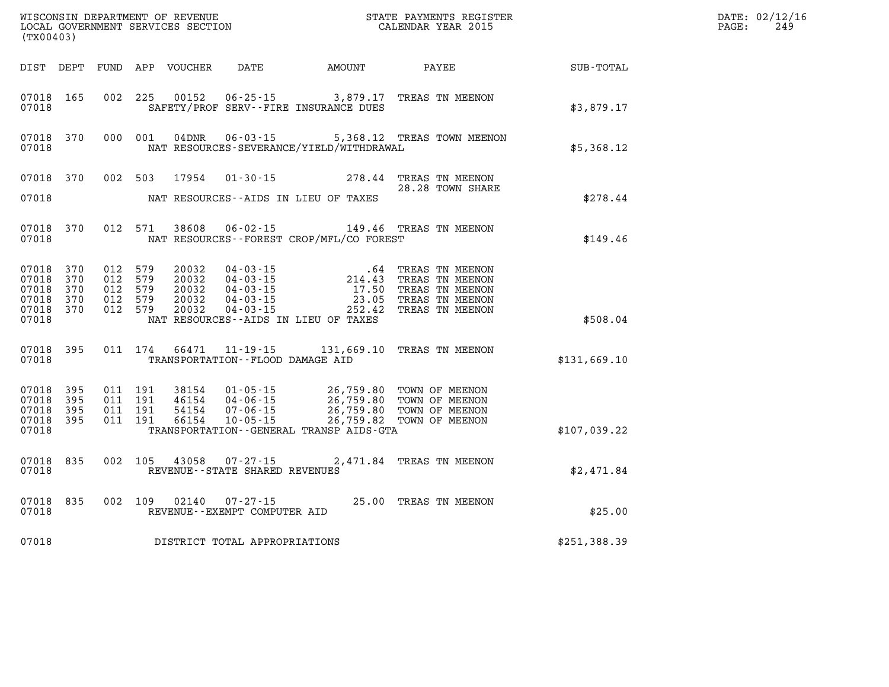| (TX00403)                                              |                          |                                                     |         | WISCONSIN DEPARTMENT OF REVENUE<br>LOCAL GOVERNMENT SERVICES SECTION |                                                                      | STATE PAYMENTS REGISTER<br>DN CALENDAR YEAR 2015                                                                                                                                                                                     |                                                                                                               |              | DATE: 02/12/16<br>PAGE:<br>249 |  |
|--------------------------------------------------------|--------------------------|-----------------------------------------------------|---------|----------------------------------------------------------------------|----------------------------------------------------------------------|--------------------------------------------------------------------------------------------------------------------------------------------------------------------------------------------------------------------------------------|---------------------------------------------------------------------------------------------------------------|--------------|--------------------------------|--|
|                                                        |                          |                                                     |         | DIST DEPT FUND APP VOUCHER                                           | DATE                                                                 | AMOUNT                                                                                                                                                                                                                               | PAYEE                                                                                                         | SUB-TOTAL    |                                |  |
| 07018 165<br>07018                                     |                          | 002 225                                             |         | 00152                                                                |                                                                      | 06-25-15 3,879.17 TREAS TN MEENON<br>SAFETY/PROF SERV--FIRE INSURANCE DUES                                                                                                                                                           |                                                                                                               | \$3,879.17   |                                |  |
| 07018 370<br>07018                                     |                          | 000 001                                             |         | 04DNR                                                                | $06 - 03 - 15$                                                       | NAT RESOURCES-SEVERANCE/YIELD/WITHDRAWAL                                                                                                                                                                                             | 5,368.12 TREAS TOWN MEENON                                                                                    | \$5,368.12   |                                |  |
| 07018 370<br>07018                                     |                          | 002 503                                             |         | 17954                                                                |                                                                      | 01-30-15 278.44 TREAS TN MEENON<br>NAT RESOURCES--AIDS IN LIEU OF TAXES                                                                                                                                                              | 28.28 TOWN SHARE                                                                                              | \$278.44     |                                |  |
| 07018 370<br>07018                                     |                          |                                                     | 012 571 | 38608                                                                | $06 - 02 - 15$                                                       | NAT RESOURCES - - FOREST CROP/MFL/CO FOREST                                                                                                                                                                                          | 149.46 TREAS TN MEENON                                                                                        | \$149.46     |                                |  |
| 07018 370<br>07018<br>07018<br>07018<br>07018<br>07018 | 370<br>370<br>370<br>370 | 012 579<br>012 579<br>012 579<br>012 579<br>012 579 |         | 20032<br>20032<br>20032<br>20032<br>20032                            | 04 - 03 - 15<br>04 - 03 - 15<br>04 - 03 - 15<br>04-03-15<br>04-03-15 | 17.50<br>23.05<br>NAT RESOURCES - AIDS IN LIEU OF TAXES                                                                                                                                                                              | .64 TREAS TN MEENON<br>214.43 TREAS TN MEENON<br>TREAS TN MEENON<br>TREAS TN MEENON<br>252.42 TREAS TN MEENON | \$508.04     |                                |  |
| 07018 395<br>07018                                     |                          |                                                     | 011 174 |                                                                      | TRANSPORTATION - - FLOOD DAMAGE AID                                  | 66471  11-19-15  131,669.10  TREAS TN MEENON                                                                                                                                                                                         |                                                                                                               | \$131,669.10 |                                |  |
| 07018<br>07018 395<br>07018<br>07018 395<br>07018      | 395<br>- 395             | 011 191<br>011 191<br>011 191<br>011 191            |         |                                                                      |                                                                      | 38154  01-05-15  26,759.80  TOWN OF MEENON<br>46154  04-06-15  26,759.80  TOWN OF MEENON<br>54154  07-06-15  26,759.80  TOWN OF MEENON<br>66154  10-05-15  26,759.82  TOWN OF MEENON<br>TRANSPORTATION - - GENERAL TRANSP AIDS - GTA |                                                                                                               | \$107,039.22 |                                |  |
| 07018 835<br>07018                                     |                          | 002 105                                             |         |                                                                      | 43058 07-27-15<br>REVENUE - - STATE SHARED REVENUES                  |                                                                                                                                                                                                                                      | 2,471.84 TREAS TN MEENON                                                                                      | \$2,471.84   |                                |  |
| 07018 835<br>07018                                     |                          |                                                     |         | 002 109 02140                                                        | 07-27-15<br>REVENUE--EXEMPT COMPUTER AID                             |                                                                                                                                                                                                                                      | 25.00 TREAS TN MEENON                                                                                         | \$25.00      |                                |  |
| 07018                                                  |                          |                                                     |         |                                                                      | DISTRICT TOTAL APPROPRIATIONS                                        |                                                                                                                                                                                                                                      |                                                                                                               | \$251,388.39 |                                |  |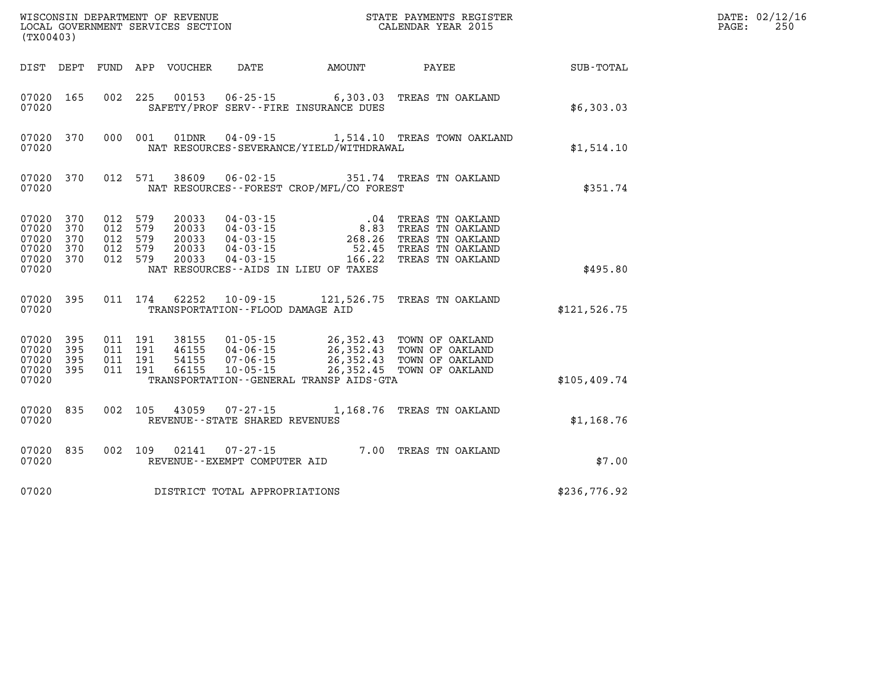| (TX00403)                                              |                          |                                             |            | WISCONSIN DEPARTMENT OF REVENUE<br>LOCAL GOVERNMENT SERVICES SECTION |                                                                                  |                                                                           | STATE PAYMENTS REGISTER<br>CALENDAR YEAR 2015                                                          |               | DATE: 02/12/16<br>250<br>PAGE: |
|--------------------------------------------------------|--------------------------|---------------------------------------------|------------|----------------------------------------------------------------------|----------------------------------------------------------------------------------|---------------------------------------------------------------------------|--------------------------------------------------------------------------------------------------------|---------------|--------------------------------|
| DIST DEPT                                              |                          |                                             |            | FUND APP VOUCHER                                                     | DATE                                                                             | AMOUNT                                                                    | PAYEE                                                                                                  | SUB-TOTAL     |                                |
| 07020 165<br>07020                                     |                          | 002 225                                     |            | 00153                                                                |                                                                                  | $06 - 25 - 15$ 6,303.03<br>SAFETY/PROF SERV--FIRE INSURANCE DUES          | TREAS TN OAKLAND                                                                                       | \$6,303.03    |                                |
| 07020<br>07020                                         | 370                      | 000 001                                     |            | 01DNR                                                                |                                                                                  | NAT RESOURCES-SEVERANCE/YIELD/WITHDRAWAL                                  | 04-09-15 1,514.10 TREAS TOWN OAKLAND                                                                   | \$1,514.10    |                                |
| 07020 370<br>07020                                     |                          | 012 571                                     |            | 38609                                                                | $06 - 02 - 15$                                                                   | NAT RESOURCES--FOREST CROP/MFL/CO FOREST                                  | 351.74 TREAS TN OAKLAND                                                                                | \$351.74      |                                |
| 07020<br>07020<br>07020<br>07020<br>07020 370<br>07020 | 370<br>370<br>370<br>370 | 012<br>012<br>012 579<br>012 579<br>012 579 | 579<br>579 | 20033<br>20033<br>20033<br>20033<br>20033                            | 04 - 03 - 15<br>04 - 03 - 15<br>04 - 03 - 15<br>$04 - 03 - 15$<br>$04 - 03 - 15$ | 8.83<br>268.26<br>52.45<br>166.22<br>NAT RESOURCES--AIDS IN LIEU OF TAXES | .04 TREAS TN OAKLAND<br>TREAS TN OAKLAND<br>TREAS TN OAKLAND<br>TREAS TN OAKLAND<br>TREAS TN OAKLAND   | \$495.80      |                                |
| 07020 395<br>07020                                     |                          |                                             | 011 174    |                                                                      | TRANSPORTATION--FLOOD DAMAGE AID                                                 |                                                                           | 62252  10-09-15  121,526.75  TREAS TN OAKLAND                                                          | \$121,526.75  |                                |
| 07020<br>07020<br>07020<br>07020 395<br>07020          | 395<br>395<br>395        | 011 191<br>011 191<br>011 191<br>011 191    |            | 38155<br>46155<br>54155<br>66155                                     | 01-05-15<br>04-06-15<br>07-06-15<br>$10 - 05 - 15$                               | 26,352.43<br>TRANSPORTATION--GENERAL TRANSP AIDS-GTA                      | 26,352.43 TOWN OF OAKLAND<br>26,352.43 TOWN OF OAKLAND<br>TOWN OF OAKLAND<br>26,352.45 TOWN OF OAKLAND | \$105, 409.74 |                                |
| 07020<br>07020                                         | 835                      | 002 105                                     |            | 43059                                                                | $07 - 27 - 15$<br>REVENUE - - STATE SHARED REVENUES                              |                                                                           | 1,168.76 TREAS TN OAKLAND                                                                              | \$1,168.76    |                                |
| 07020<br>07020                                         | 835                      | 002 109                                     |            | 02141                                                                | $07 - 27 - 15$<br>REVENUE--EXEMPT COMPUTER AID                                   |                                                                           | 7.00 TREAS TN OAKLAND                                                                                  | \$7.00        |                                |
| 07020                                                  |                          |                                             |            |                                                                      | DISTRICT TOTAL APPROPRIATIONS                                                    |                                                                           |                                                                                                        | \$236,776.92  |                                |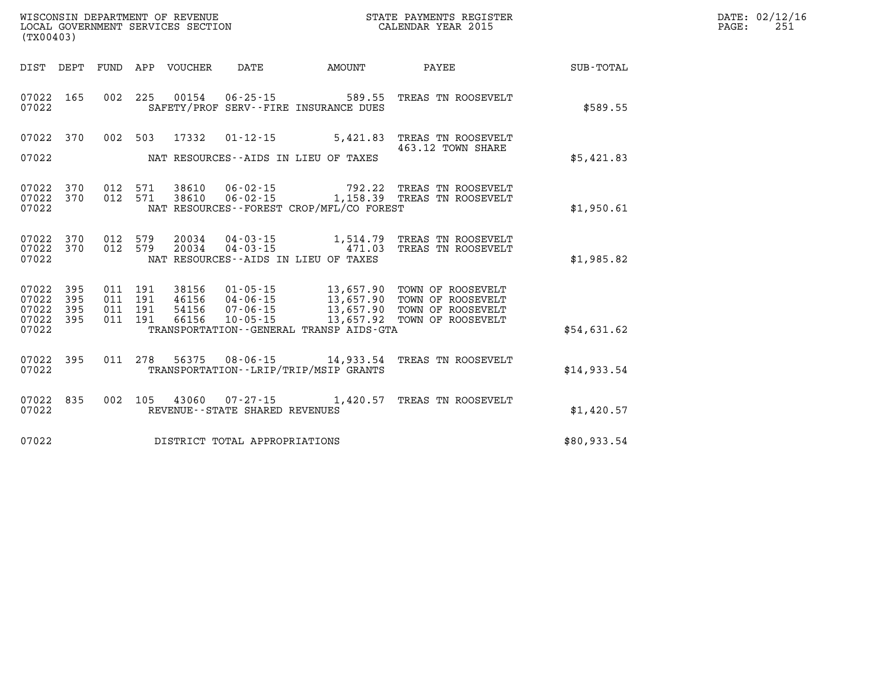| DATE: | 02/12/16 |
|-------|----------|
| PAGE: | 251      |

|                                           | (TX00403)                |                          |                          |                                  |                                                            |                                                                                            |                                                                                            |             |  |  |
|-------------------------------------------|--------------------------|--------------------------|--------------------------|----------------------------------|------------------------------------------------------------|--------------------------------------------------------------------------------------------|--------------------------------------------------------------------------------------------|-------------|--|--|
| DIST                                      | DEPT                     | <b>FUND</b>              | APP                      | VOUCHER                          | DATE                                                       | AMOUNT                                                                                     | PAYEE                                                                                      | SUB-TOTAL   |  |  |
| 07022<br>07022                            | 165                      | 002                      | 225                      |                                  | 00154 06-25-15                                             | 589.55<br>SAFETY/PROF SERV--FIRE INSURANCE DUES                                            | TREAS TN ROOSEVELT                                                                         | \$589.55    |  |  |
| 07022<br>07022                            | 370                      | 002                      | 503                      | 17332                            |                                                            | $01 - 12 - 15$ 5,421.83<br>NAT RESOURCES--AIDS IN LIEU OF TAXES                            | TREAS TN ROOSEVELT<br>463.12 TOWN SHARE                                                    | \$5,421.83  |  |  |
| 07022<br>07022<br>07022                   | 370<br>370               | 012<br>012               | 571<br>571               | 38610<br>38610                   | 06-02-15<br>$06 - 02 - 15$                                 | 792.22<br>NAT RESOURCES--FOREST CROP/MFL/CO FOREST                                         | TREAS TN ROOSEVELT<br>1,158.39 TREAS TN ROOSEVELT                                          | \$1,950.61  |  |  |
| 07022<br>07022<br>07022                   | 370<br>370               | 012<br>012               | 579<br>579               |                                  |                                                            | 20034  04-03-15  1,514.79<br>20034 04-03-15 471.03<br>NAT RESOURCES--AIDS IN LIEU OF TAXES | TREAS TN ROOSEVELT<br>TREAS TN ROOSEVELT                                                   | \$1,985.82  |  |  |
| 07022<br>07022<br>07022<br>07022<br>07022 | 395<br>395<br>395<br>395 | 011<br>011<br>011<br>011 | 191<br>191<br>191<br>191 | 38156<br>46156<br>54156<br>66156 | 01-05-15<br>04 - 06 - 15<br>07 - 06 - 15<br>$10 - 05 - 15$ | 13,657.90<br>13,657.90<br>13,657.92<br>TRANSPORTATION--GENERAL TRANSP AIDS-GTA             | 13,657.90 TOWN OF ROOSEVELT<br>TOWN OF ROOSEVELT<br>TOWN OF ROOSEVELT<br>TOWN OF ROOSEVELT | \$54,631.62 |  |  |
| 07022<br>07022                            | 395                      | 011                      | 278                      | 56375                            |                                                            | $08 - 06 - 15$ 14,933.54<br>TRANSPORTATION - - LRIP/TRIP/MSIP GRANTS                       | TREAS TN ROOSEVELT                                                                         | \$14,933.54 |  |  |
| 07022<br>07022                            | 835                      | 002                      | 105                      | 43060                            | $07 - 27 - 15$<br>REVENUE - - STATE SHARED REVENUES        | 1,420.57                                                                                   | TREAS TN ROOSEVELT                                                                         | \$1,420.57  |  |  |
| 07022                                     |                          |                          |                          |                                  | DISTRICT TOTAL APPROPRIATIONS                              |                                                                                            |                                                                                            | \$80,933.54 |  |  |

WISCONSIN DEPARTMENT OF REVENUE **STATE PAYMENTS REGISTER**<br>LOCAL GOVERNMENT SERVICES SECTION

LOCAL GOVERNMENT SERVICES SECTION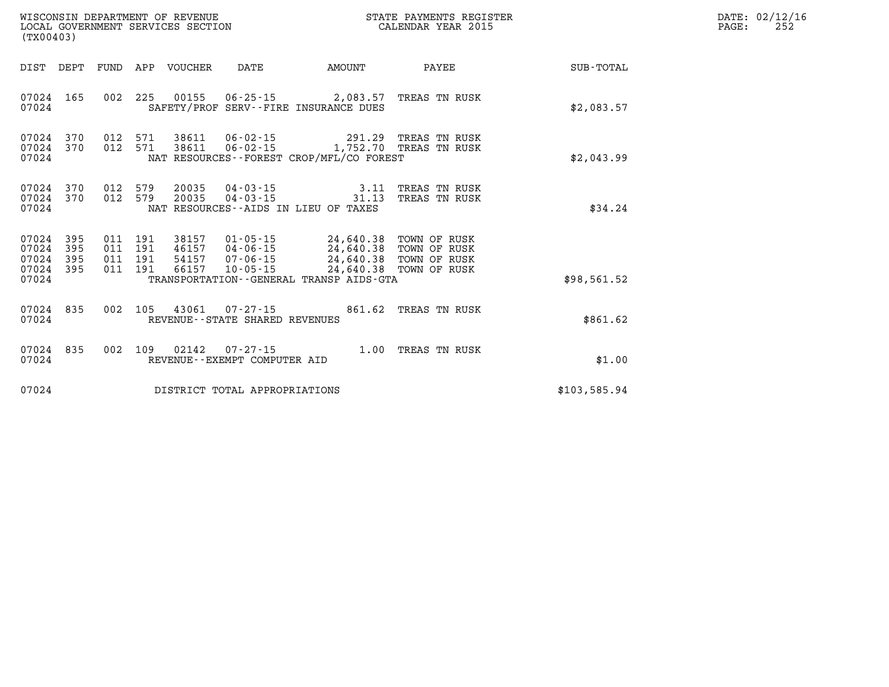| (TX00403)                                         |                        |                                          |         |                            |                                |                                                                                                                                             | STATE PAYMENTS REGISTER        |              | PAGE: | DATE: 02/12/16<br>252 |
|---------------------------------------------------|------------------------|------------------------------------------|---------|----------------------------|--------------------------------|---------------------------------------------------------------------------------------------------------------------------------------------|--------------------------------|--------------|-------|-----------------------|
|                                                   |                        |                                          |         | DIST DEPT FUND APP VOUCHER |                                | DATE AMOUNT                                                                                                                                 | PAYEE                          | SUB-TOTAL    |       |                       |
| 07024                                             |                        |                                          |         |                            |                                | 07024 165 002 225 00155 06-25-15 2,083.57 TREAS TN RUSK<br>SAFETY/PROF SERV--FIRE INSURANCE DUES                                            |                                | \$2,083.57   |       |                       |
| 07024                                             | 07024 370<br>07024 370 |                                          |         |                            |                                | 012 571 38611 06-02-15 291.29 TREAS TN RUSK<br>012 571 38611 06-02-15 1,752.70 TREAS TN RUSK<br>NAT RESOURCES - - FOREST CROP/MFL/CO FOREST |                                | \$2,043.99   |       |                       |
| 07024                                             | 07024 370<br>07024 370 | 012 579<br>012 579                       |         | 20035<br>20035             |                                | $04 - 03 - 15$ 3.11<br>$04 - 03 - 15$ 31.13<br>NAT RESOURCES -- AIDS IN LIEU OF TAXES                                                       | TREAS TN RUSK<br>TREAS TN RUSK | \$34.24      |       |                       |
| 07024<br>07024<br>07024 395<br>07024 395<br>07024 | 395<br>395             | 011 191<br>011 191<br>011 191<br>011 191 |         |                            |                                | 38157  01-05-15  24,640.38  TOWN OF RUSK<br>TRANSPORTATION--GENERAL TRANSP AIDS-GTA                                                         |                                | \$98,561.52  |       |                       |
| 07024 835<br>07024                                |                        | 002 105                                  |         |                            | REVENUE--STATE SHARED REVENUES | 43061  07-27-15  861.62  TREAS TN RUSK                                                                                                      |                                | \$861.62     |       |                       |
| 07024 835<br>07024                                |                        |                                          | 002 109 |                            | REVENUE--EXEMPT COMPUTER AID   |                                                                                                                                             |                                | \$1.00       |       |                       |
| 07024                                             |                        |                                          |         |                            | DISTRICT TOTAL APPROPRIATIONS  |                                                                                                                                             |                                | \$103,585.94 |       |                       |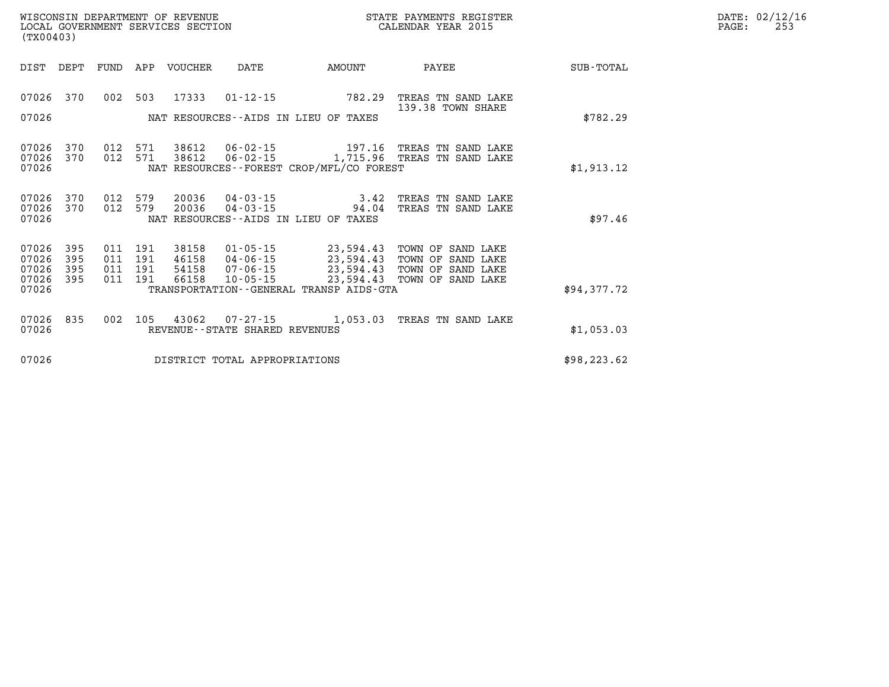| WISCONSIN DEPARTMENT OF REVENUE   | STATE PAYMENTS REGISTER | 02/12/16<br>DATE:       |
|-----------------------------------|-------------------------|-------------------------|
| LOCAL GOVERNMENT SERVICES SECTION | CALENDAR YEAR 2015      | つに<br>PAGE:<br><u>_</u> |

| (TX00403)                                                                                         |                                                                                                                                                                     |                                                                                                                             |                  |
|---------------------------------------------------------------------------------------------------|---------------------------------------------------------------------------------------------------------------------------------------------------------------------|-----------------------------------------------------------------------------------------------------------------------------|------------------|
| DIST<br>DEPT<br>FUND                                                                              | APP<br>VOUCHER<br>DATE                                                                                                                                              | AMOUNT<br>PAYEE                                                                                                             | <b>SUB-TOTAL</b> |
| 002<br>07026<br>370<br>07026                                                                      | 503<br>17333<br>$01 - 12 - 15$<br>NAT RESOURCES--AIDS IN LIEU OF TAXES                                                                                              | 782.29<br>TREAS TN SAND LAKE<br>139.38 TOWN SHARE                                                                           | \$782.29         |
| 370<br>07026<br>012<br>370<br>012<br>07026<br>07026                                               | 38612<br>571<br>38612<br>571<br>NAT RESOURCES - - FOREST CROP/MFL/CO FOREST                                                                                         | 06-02-15 1,715.96 TREAS TN SAND LAKE                                                                                        | \$1,913.12       |
| 07026<br>370<br>012<br>012<br>07026<br>370<br>07026                                               | 579<br>20036<br>$04 - 03 - 15$<br>579<br>20036<br>$04 - 03 - 15$<br>NAT RESOURCES -- AIDS IN LIEU OF TAXES                                                          | 3.42<br>TREAS TN SAND LAKE<br>94.04<br>TREAS TN SAND LAKE                                                                   | \$97.46          |
| 07026<br>395<br>011<br>07026<br>395<br>011<br>07026<br>395<br>011<br>07026<br>395<br>011<br>07026 | 191<br>38158<br>$01 - 05 - 15$<br>191<br>46158<br>04-06-15<br>191<br>54158<br>07-06-15<br>66158<br>191<br>$10 - 05 - 15$<br>TRANSPORTATION--GENERAL TRANSP AIDS-GTA | 23,594.43 TOWN OF SAND LAKE<br>23,594.43<br>TOWN OF SAND LAKE<br>23,594.43 TOWN OF SAND LAKE<br>23,594.43 TOWN OF SAND LAKE | \$94,377.72      |
| 835<br>002<br>07026<br>07026                                                                      | 105<br>43062<br>REVENUE--STATE SHARED REVENUES                                                                                                                      | 07-27-15 1,053.03 TREAS TN SAND LAKE                                                                                        | \$1,053.03       |
| 07026                                                                                             | DISTRICT TOTAL APPROPRIATIONS                                                                                                                                       |                                                                                                                             | \$98, 223.62     |

WISCONSIN DEPARTMENT OF REVENUE **STATE PAYMENTS REGISTER**<br>LOCAL GOVERNMENT SERVICES SECTION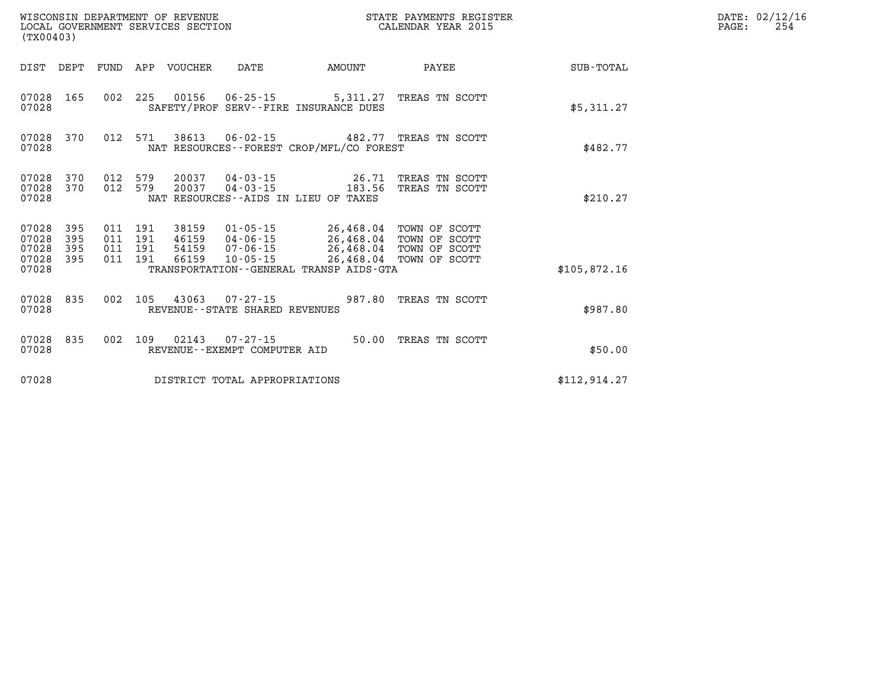| (TX00403)                            |                   |                                          |     | WISCONSIN DEPARTMENT OF REVENUE | LOCAL GOVERNMENT SERVICES SECTION              | STATE PAYMENTS REGISTER<br>CALENDAR YEAR 2015                                                                                        |                                  |              | DATE: 02/12/16<br>PAGE:<br>254 |
|--------------------------------------|-------------------|------------------------------------------|-----|---------------------------------|------------------------------------------------|--------------------------------------------------------------------------------------------------------------------------------------|----------------------------------|--------------|--------------------------------|
|                                      |                   |                                          |     | DIST DEPT FUND APP VOUCHER      | DATE                                           | AMOUNT                                                                                                                               | PAYEE                            | SUB-TOTAL    |                                |
| 07028 165<br>07028                   |                   | 002 225                                  |     |                                 |                                                | 00156  06-25-15  5,311.27  TREAS TN SCOTT<br>SAFETY/PROF SERV--FIRE INSURANCE DUES                                                   |                                  | \$5,311.27   |                                |
| 07028<br>07028                       | 370               | 012 571                                  |     | 38613                           |                                                | 06-02-15 482.77 TREAS TN SCOTT<br>NAT RESOURCES - - FOREST CROP/MFL/CO FOREST                                                        |                                  | \$482.77     |                                |
| 07028<br>07028 370<br>07028          | 370               | 012<br>012 579                           | 579 | 20037<br>20037                  | $04 - 03 - 15$                                 | 26.71<br>$04 - 03 - 15$ 183.56<br>NAT RESOURCES--AIDS IN LIEU OF TAXES                                                               | TREAS TN SCOTT<br>TREAS TN SCOTT | \$210.27     |                                |
| 07028<br>07028<br>07028<br>07028 395 | 395<br>395<br>395 | 011 191<br>011 191<br>011 191<br>011 191 |     | 38159<br>66159                  | 10-05-15                                       | 01-05-15 26,468.04 TOWN OF SCOTT<br>46159 04-06-15 26,468.04<br>54159  07-06-15  26,468.04  TOWN OF SCOTT<br>26,468.04 TOWN OF SCOTT | TOWN OF SCOTT                    |              |                                |
| 07028                                |                   |                                          |     |                                 |                                                | TRANSPORTATION--GENERAL TRANSP AIDS-GTA                                                                                              |                                  | \$105,872.16 |                                |
| 07028 835<br>07028                   |                   | 002 105                                  |     | 43063                           | REVENUE - - STATE SHARED REVENUES              | $07 - 27 - 15$ 987.80                                                                                                                | TREAS TN SCOTT                   | \$987.80     |                                |
| 07028 835<br>07028                   |                   | 002                                      | 109 |                                 | 02143 07-27-15<br>REVENUE--EXEMPT COMPUTER AID |                                                                                                                                      | 50.00 TREAS TN SCOTT             | \$50.00      |                                |
| 07028                                |                   |                                          |     |                                 | DISTRICT TOTAL APPROPRIATIONS                  |                                                                                                                                      |                                  | \$112,914.27 |                                |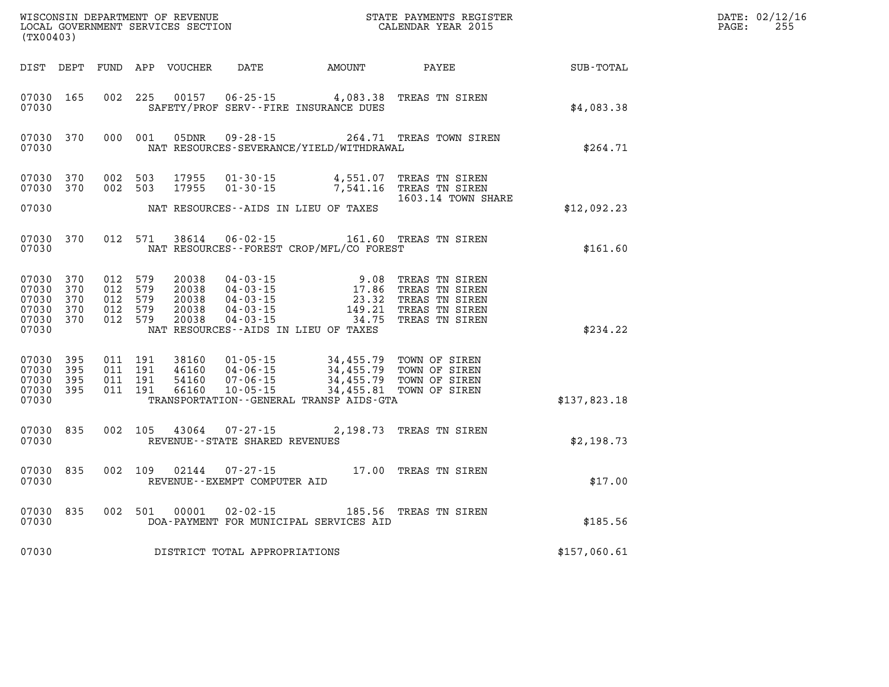| (TX00403)                                          |                                 |                                                 |         | WISCONSIN DEPARTMENT OF REVENUE<br>LOCAL GOVERNMENT SERVICES SECTION |                                                                            | STATE PAYMENTS REGISTER<br>CALENDAR YEAR 2015                                       |                                                                                        |              | DATE: 02/12/16<br>PAGE:<br>255 |
|----------------------------------------------------|---------------------------------|-------------------------------------------------|---------|----------------------------------------------------------------------|----------------------------------------------------------------------------|-------------------------------------------------------------------------------------|----------------------------------------------------------------------------------------|--------------|--------------------------------|
| DIST DEPT                                          |                                 |                                                 |         | FUND APP VOUCHER                                                     | DATE                                                                       | AMOUNT                                                                              | PAYEE                                                                                  | SUB-TOTAL    |                                |
| 07030 165<br>07030                                 |                                 | 002                                             | 225     | 00157                                                                |                                                                            | $06 - 25 - 15$ 4,083.38<br>SAFETY/PROF SERV--FIRE INSURANCE DUES                    | TREAS TN SIREN                                                                         | \$4,083.38   |                                |
| 07030 370<br>07030                                 |                                 | 000 001                                         |         | 05DNR                                                                |                                                                            | NAT RESOURCES-SEVERANCE/YIELD/WITHDRAWAL                                            | 09-28-15 264.71 TREAS TOWN SIREN                                                       | \$264.71     |                                |
| 07030<br>07030                                     | 370<br>370                      | 002 503<br>002 503                              |         | 17955<br>17955                                                       | $01 - 30 - 15$<br>$01 - 30 - 15$                                           | 4,551.07<br>7,541.16                                                                | TREAS TN SIREN<br>TREAS TN SIREN                                                       |              |                                |
| 07030                                              |                                 |                                                 |         |                                                                      |                                                                            | NAT RESOURCES--AIDS IN LIEU OF TAXES                                                | 1603.14 TOWN SHARE                                                                     | \$12,092.23  |                                |
| 07030 370<br>07030                                 |                                 |                                                 | 012 571 | 38614                                                                | $06 - 02 - 15$                                                             | NAT RESOURCES--FOREST CROP/MFL/CO FOREST                                            | 161.60 TREAS TN SIREN                                                                  | \$161.60     |                                |
| 07030<br>07030<br>07030<br>07030<br>07030<br>07030 | 370<br>370<br>370<br>370<br>370 | 012<br>012 579<br>012 579<br>012 579<br>012 579 | 579     | 20038<br>20038<br>20038<br>20038<br>20038                            | $04 - 03 - 15$<br>$04 - 03 - 15$<br>04-03-15<br>04-03-15<br>$04 - 03 - 15$ | 9.08<br>17.86<br>23.32<br>149.21<br>34.75<br>NAT RESOURCES -- AIDS IN LIEU OF TAXES | TREAS TN SIREN<br>TREAS TN SIREN<br>TREAS TN SIREN<br>TREAS TN SIREN<br>TREAS TN SIREN | \$234.22     |                                |
| 07030 395<br>07030<br>07030<br>07030<br>07030      | - 395<br>395<br>395             | 011 191<br>011 191<br>011 191<br>011 191        |         | 38160<br>46160<br>54160<br>66160                                     | $01 - 05 - 15$<br>04-06-15<br>$07 - 06 - 15$<br>$10 - 05 - 15$             | 34,455.79<br>34,455.79<br>34,455.79<br>TRANSPORTATION--GENERAL TRANSP AIDS-GTA      | TOWN OF SIREN<br>TOWN OF SIREN<br>TOWN OF SIREN<br>34,455.81 TOWN OF SIREN             | \$137,823.18 |                                |
| 07030 835<br>07030                                 |                                 | 002 105                                         |         | 43064                                                                | $07 - 27 - 15$<br>REVENUE--STATE SHARED REVENUES                           |                                                                                     | 2,198.73 TREAS TN SIREN                                                                | \$2,198.73   |                                |
| 07030<br>07030                                     | 835                             | 002 109                                         |         | 02144                                                                | $07 - 27 - 15$<br>REVENUE--EXEMPT COMPUTER AID                             |                                                                                     | 17.00 TREAS TN SIREN                                                                   | \$17.00      |                                |
| 07030 835<br>07030                                 |                                 |                                                 | 002 501 | 00001                                                                | $02 - 02 - 15$                                                             | DOA-PAYMENT FOR MUNICIPAL SERVICES AID                                              | 185.56 TREAS TN SIREN                                                                  | \$185.56     |                                |
| 07030                                              |                                 |                                                 |         |                                                                      | DISTRICT TOTAL APPROPRIATIONS                                              |                                                                                     |                                                                                        | \$157,060.61 |                                |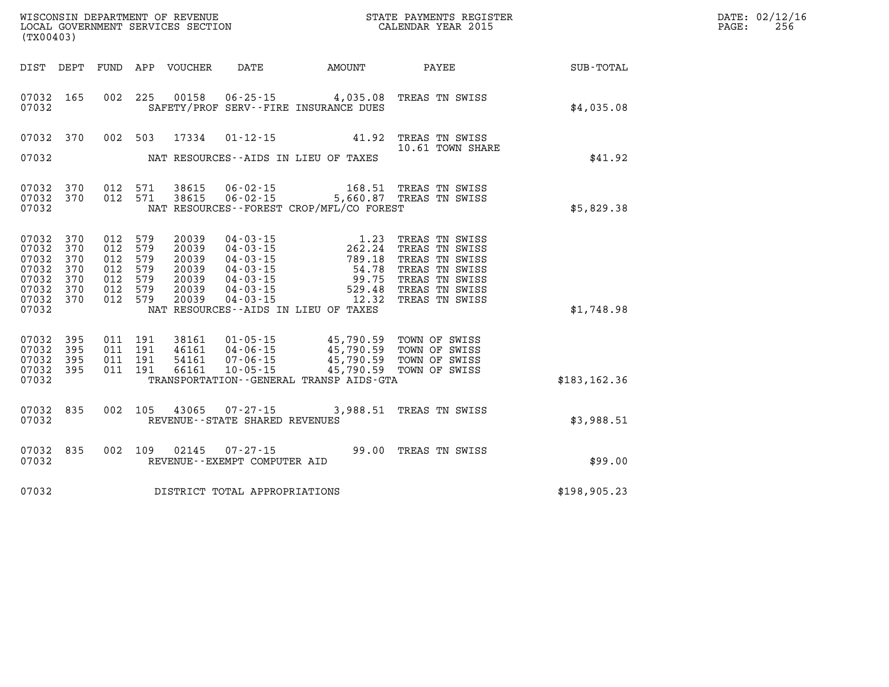| WISCONSIN DEPARTMENT OF REVENUE   | STATE PAYMENTS REGISTER | DATE: 02/12/16 |
|-----------------------------------|-------------------------|----------------|
| LOCAL GOVERNMENT SERVICES SECTION | CALENDAR YEAR 2015      | 256<br>PAGE:   |

| (TX00403)               |                   |                               |                            |                                | LOCAL GOVERNMENT SERVICES SECTION CALENDAR YEAR 2015                                                                                                                                                                                                                                                                                      |                                                                                                                                                                                                                                                                            | PAGE:                       | 256 |  |
|-------------------------|-------------------|-------------------------------|----------------------------|--------------------------------|-------------------------------------------------------------------------------------------------------------------------------------------------------------------------------------------------------------------------------------------------------------------------------------------------------------------------------------------|----------------------------------------------------------------------------------------------------------------------------------------------------------------------------------------------------------------------------------------------------------------------------|-----------------------------|-----|--|
|                         |                   |                               | DIST DEPT FUND APP VOUCHER |                                |                                                                                                                                                                                                                                                                                                                                           |                                                                                                                                                                                                                                                                            | DATE AMOUNT PAYEE SUB-TOTAL |     |  |
|                         |                   |                               |                            |                                |                                                                                                                                                                                                                                                                                                                                           |                                                                                                                                                                                                                                                                            |                             |     |  |
| 07032<br>07032          | 165               |                               | 002 225 00158              |                                | 06-25-15 4,035.08 TREAS TN SWISS<br>SAFETY/PROF SERV--FIRE INSURANCE DUES                                                                                                                                                                                                                                                                 |                                                                                                                                                                                                                                                                            | \$4,035.08                  |     |  |
| 07032 370               |                   |                               |                            |                                | 002 503 17334 01-12-15 41.92 TREAS TN SWISS                                                                                                                                                                                                                                                                                               |                                                                                                                                                                                                                                                                            |                             |     |  |
| 07032                   |                   |                               |                            |                                | NAT RESOURCES--AIDS IN LIEU OF TAXES                                                                                                                                                                                                                                                                                                      | 10.61 TOWN SHARE                                                                                                                                                                                                                                                           | \$41.92                     |     |  |
| 07032 370               |                   |                               | 012 571 38615              |                                |                                                                                                                                                                                                                                                                                                                                           |                                                                                                                                                                                                                                                                            |                             |     |  |
| 07032 370<br>07032      |                   | 012 571                       | 38615                      |                                | NAT RESOURCES - - FOREST CROP/MFL/CO FOREST                                                                                                                                                                                                                                                                                               | 06-02-15 168.51 TREAS TN SWISS<br>06-02-15 5,660.87 TREAS TN SWISS                                                                                                                                                                                                         | \$5,829.38                  |     |  |
| 07032                   | 370               | 012 579                       | 20039                      |                                |                                                                                                                                                                                                                                                                                                                                           |                                                                                                                                                                                                                                                                            |                             |     |  |
| 07032<br>07032          | 370<br>370        | 012 579<br>012 579            | 20039<br>20039             |                                |                                                                                                                                                                                                                                                                                                                                           |                                                                                                                                                                                                                                                                            |                             |     |  |
| 07032<br>07032<br>07032 | 370<br>370<br>370 | 012 579<br>012 579<br>012 579 | 20039<br>20039<br>20039    |                                |                                                                                                                                                                                                                                                                                                                                           | 04-03-15<br>04-03-15<br>04-03-15<br>04-03-15<br>04-03-15<br>04-03-15<br>04-03-15<br>04-03-15<br>04-03-15<br>04-03-15<br>04-03-15<br>04-03-15<br>04-03-15<br>04-03-15<br>04-03-15<br>04-03-15<br>04-03-15<br>04-03-15<br>04-03-15<br>04-03-15<br>04-03-15<br>04-03-15<br>02 |                             |     |  |
| 07032 370<br>07032      |                   | 012 579                       | 20039                      |                                | NAT RESOURCES -- AIDS IN LIEU OF TAXES                                                                                                                                                                                                                                                                                                    |                                                                                                                                                                                                                                                                            | \$1,748.98                  |     |  |
| 07032                   | 395               |                               |                            |                                |                                                                                                                                                                                                                                                                                                                                           |                                                                                                                                                                                                                                                                            |                             |     |  |
| 07032<br>07032          | 395<br>395        |                               |                            |                                | $\begin{array}{cccc} 011 & 191 & 38161 & 01\cdot 05\cdot 15 & 45\, , 790\, .59 & \text{TOWN OF SWISS} \\ 011 & 191 & 46161 & 04\cdot 06\cdot 15 & 45\, , 790\, .59 & \text{TOWN OF SWISS} \\ 011 & 191 & 54161 & 07\cdot 06\cdot 15 & 45\, , 790\, .59 & \text{TOWN OF SWISS} \\ 011 & 191 & 66161 & 10\cdot 05\cdot 15 & 45\, , 790\, .$ |                                                                                                                                                                                                                                                                            |                             |     |  |
| 07032 395<br>07032      |                   |                               |                            |                                | TRANSPORTATION--GENERAL TRANSP AIDS-GTA                                                                                                                                                                                                                                                                                                   |                                                                                                                                                                                                                                                                            | \$183, 162.36               |     |  |
| 07032<br>07032          | 835               |                               |                            | REVENUE--STATE SHARED REVENUES | 002 105 43065 07-27-15 3,988.51 TREAS TN SWISS                                                                                                                                                                                                                                                                                            |                                                                                                                                                                                                                                                                            | \$3,988.51                  |     |  |
|                         |                   |                               |                            |                                |                                                                                                                                                                                                                                                                                                                                           |                                                                                                                                                                                                                                                                            |                             |     |  |
| 07032<br>07032          | 835               |                               |                            | REVENUE--EXEMPT COMPUTER AID   | 002 109 02145 07-27-15 99.00 TREAS TN SWISS                                                                                                                                                                                                                                                                                               |                                                                                                                                                                                                                                                                            | \$99.00                     |     |  |
| 07032                   |                   |                               |                            | DISTRICT TOTAL APPROPRIATIONS  |                                                                                                                                                                                                                                                                                                                                           |                                                                                                                                                                                                                                                                            | \$198, 905.23               |     |  |
|                         |                   |                               |                            |                                |                                                                                                                                                                                                                                                                                                                                           |                                                                                                                                                                                                                                                                            |                             |     |  |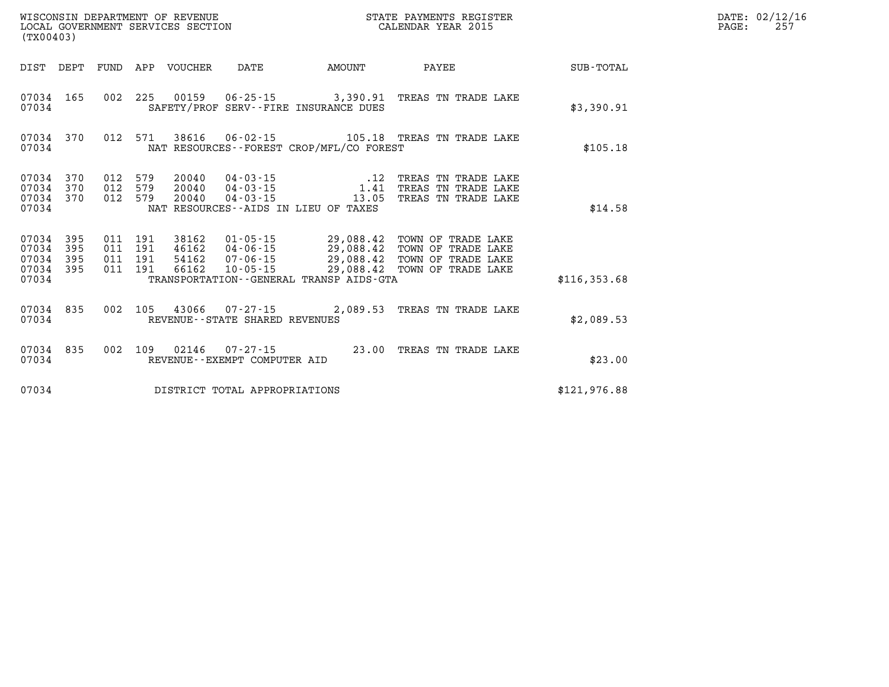|                                  | LOCAL GOVERNMENT SERVICES SECTION<br>(TX00403) |     |                                          |                         | CALENDAR YEAR 2015             |                                               |                                                                                                                                                                                                      | PAGE:        | 257 |  |
|----------------------------------|------------------------------------------------|-----|------------------------------------------|-------------------------|--------------------------------|-----------------------------------------------|------------------------------------------------------------------------------------------------------------------------------------------------------------------------------------------------------|--------------|-----|--|
|                                  | DIST DEPT FUND                                 |     |                                          | APP VOUCHER             |                                | DATE AMOUNT                                   | PAYEE                                                                                                                                                                                                | SUB - TOTAL  |     |  |
| 07034                            |                                                |     |                                          |                         |                                | SAFETY/PROF SERV--FIRE INSURANCE DUES         | 07034 165 002 225 00159 06-25-15 3,390.91 TREAS TN TRADE LAKE                                                                                                                                        | \$3,390.91   |     |  |
| 07034                            | 07034 370                                      |     |                                          |                         |                                | NAT RESOURCES - - FOREST CROP/MFL/CO FOREST   | 012 571 38616 06-02-15 105.18 TREAS TN TRADE LAKE                                                                                                                                                    | \$105.18     |     |  |
| 07034<br>07034                   | 07034 370<br>370<br>07034 370                  | 012 | 579<br>012 579<br>012 579                | 20040<br>20040<br>20040 | $04 - 03 - 15$                 | 13.05<br>NAT RESOURCES--AIDS IN LIEU OF TAXES | 04-03-15 12 TREAS TN TRADE LAKE 04-03-15 1.41 TREAS TN TRADE LAKE<br>TREAS TN TRADE LAKE                                                                                                             | \$14.58      |     |  |
| 07034<br>07034<br>07034<br>07034 | 395<br>395<br>395<br>07034 395                 |     | 011 191<br>011 191<br>011 191<br>011 191 | 46162                   |                                | TRANSPORTATION--GENERAL TRANSP AIDS-GTA       | 38162  01-05-15  29,088.42  TOWN OF TRADE LAKE<br>46162  04-06-15  29,088.42  TOWN OF TRADE LAKE<br>54162  07-06-15  29,088.42  TOWN OF TRADE LAKE<br>66162  10-05-15  29,088.42  TOWN OF TRADE LAKE | \$116,353.68 |     |  |
| 07034                            | 07034 835                                      |     |                                          |                         | REVENUE--STATE SHARED REVENUES |                                               | 002 105 43066 07-27-15 2,089.53 TREAS TN TRADE LAKE                                                                                                                                                  | \$2,089.53   |     |  |
| 07034                            | 07034 835                                      |     |                                          | 002 109 02146           | REVENUE--EXEMPT COMPUTER AID   |                                               | 07-27-15 23.00 TREAS TN TRADE LAKE                                                                                                                                                                   | \$23.00      |     |  |
| 07034                            |                                                |     |                                          |                         | DISTRICT TOTAL APPROPRIATIONS  |                                               |                                                                                                                                                                                                      | \$121,976.88 |     |  |

**WISCONSIN DEPARTMENT OF REVENUE STATE PAYMENTS REGISTER DATE: 02/12/16**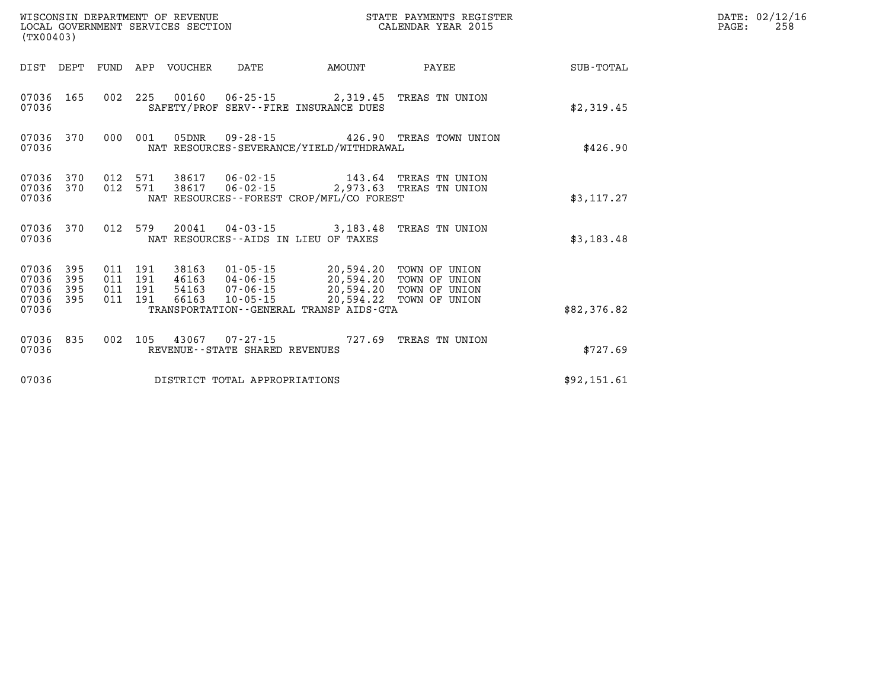| (TX00403)                                             |           |  |                                | ${\tt WISCOONSIM} \begin{tabular}{lcccc} {\tt WISCO} & {\tt NEPARTMENT} & {\tt OF} & {\tt REVENUE} & {\tt STATE} & {\tt PAYMENTS} & {\tt REGIS:} \\ {\tt LOCAL} & {\tt GOVERNMENT} & {\tt SERVICES} & {\tt SECTION} & {\tt CALENDAR} & {\tt YEAR} & 2015 \\ \end{tabular}$<br>STATE PAYMENTS REGISTER |                                                                                                                    |             | DATE: 02/12/16<br>$\mathtt{PAGE:}$<br>258 |
|-------------------------------------------------------|-----------|--|--------------------------------|-------------------------------------------------------------------------------------------------------------------------------------------------------------------------------------------------------------------------------------------------------------------------------------------------------|--------------------------------------------------------------------------------------------------------------------|-------------|-------------------------------------------|
|                                                       |           |  |                                | DIST DEPT FUND APP VOUCHER DATE AMOUNT                                                                                                                                                                                                                                                                | <b>PAYEE</b>                                                                                                       | SUB-TOTAL   |                                           |
| 07036                                                 |           |  |                                | 07036 165 002 225 00160 06-25-15 2,319.45 TREAS TN UNION<br>SAFETY/PROF SERV--FIRE INSURANCE DUES                                                                                                                                                                                                     |                                                                                                                    | \$2,319.45  |                                           |
| 07036                                                 | 07036 370 |  |                                | NAT RESOURCES-SEVERANCE/YIELD/WITHDRAWAL                                                                                                                                                                                                                                                              | 000 001 05DNR 09-28-15 426.90 TREAS TOWN UNION                                                                     | \$426.90    |                                           |
| 07036                                                 |           |  |                                | NAT RESOURCES--FOREST CROP/MFL/CO FOREST                                                                                                                                                                                                                                                              | 07036 370 012 571 38617 06-02-15 143.64 TREAS TN UNION<br>07036 370 012 571 38617 06-02-15 2,973.63 TREAS TN UNION | \$3,117.27  |                                           |
| 07036                                                 | 07036 370 |  |                                | 012 579 20041 04-03-15 3,183.48 TREAS TN UNION<br>NAT RESOURCES--AIDS IN LIEU OF TAXES                                                                                                                                                                                                                |                                                                                                                    | \$3,183.48  |                                           |
| 07036 395<br>07036<br>07036 395<br>07036 395<br>07036 | 395       |  |                                | TRANSPORTATION--GENERAL TRANSP AIDS-GTA                                                                                                                                                                                                                                                               |                                                                                                                    | \$82,376.82 |                                           |
| 07036                                                 | 07036 835 |  | REVENUE--STATE SHARED REVENUES | 002 105 43067 07-27-15 727.69 TREAS TN UNION                                                                                                                                                                                                                                                          |                                                                                                                    | \$727.69    |                                           |
| 07036                                                 |           |  | DISTRICT TOTAL APPROPRIATIONS  |                                                                                                                                                                                                                                                                                                       |                                                                                                                    | \$92,151.61 |                                           |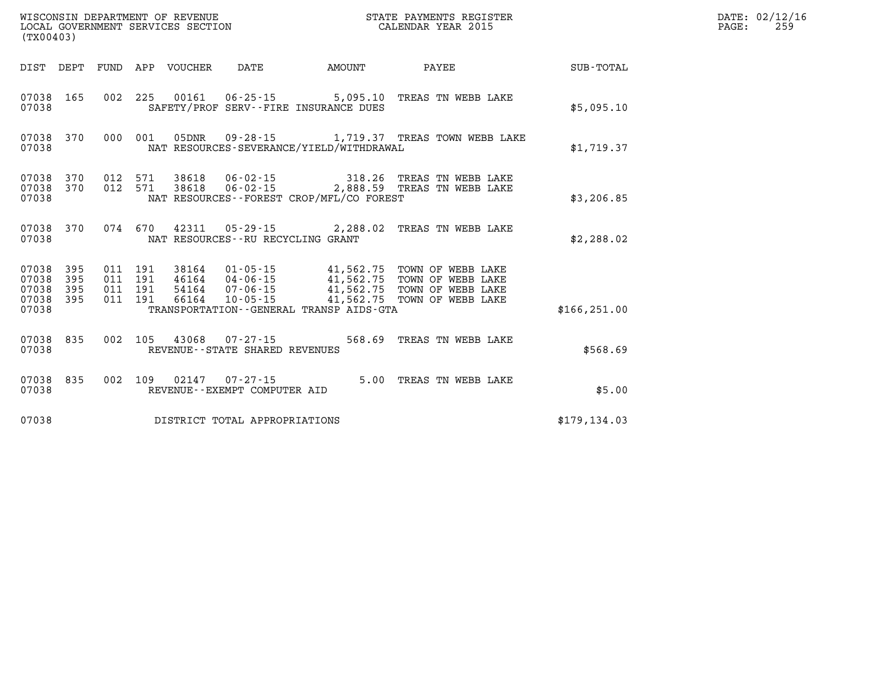| (TX00403)                                             |     |                    |                            |                                                             |                                              |                                                                                                                                                                                                  |               | DATE: 02/12/16<br>PAGE:<br>259 |  |
|-------------------------------------------------------|-----|--------------------|----------------------------|-------------------------------------------------------------|----------------------------------------------|--------------------------------------------------------------------------------------------------------------------------------------------------------------------------------------------------|---------------|--------------------------------|--|
|                                                       |     |                    | DIST DEPT FUND APP VOUCHER | DATE                                                        | <b>EXAMPLE THE AMOUNT</b>                    | <b>PAYEE</b>                                                                                                                                                                                     | SUB-TOTAL     |                                |  |
| 07038 165<br>07038                                    |     |                    |                            |                                                             | SAFETY/PROF SERV--FIRE INSURANCE DUES        | 002 225 00161 06-25-15 5,095.10 TREAS TN WEBB LAKE                                                                                                                                               | \$5,095.10    |                                |  |
| 07038 370<br>07038                                    |     | 000 001            |                            |                                                             | NAT RESOURCES-SEVERANCE/YIELD/WITHDRAWAL     | 05DNR  09-28-15   1,719.37   TREAS TOWN WEBB LAKE                                                                                                                                                | \$1,719.37    |                                |  |
| 07038 370<br>07038 370<br>07038                       |     |                    |                            |                                                             | NAT RESOURCES--FOREST CROP/MFL/CO FOREST     | 012 571 38618 06-02-15 318.26 TREAS TN WEBB LAKE<br>012 571 38618 06-02-15 2,888.59 TREAS TN WEBB LAKE                                                                                           | \$3,206.85    |                                |  |
| 07038 370<br>07038                                    |     |                    |                            | NAT RESOURCES--RU RECYCLING GRANT                           |                                              | 074 670 42311 05-29-15 2,288.02 TREAS TN WEBB LAKE                                                                                                                                               | \$2,288.02    |                                |  |
| 07038 395<br>07038<br>07038 395<br>07038 395<br>07038 | 395 | 011 191<br>011 191 |                            | 011 191 54164 07-06-15<br>011 191 66164 10-05-15            | TRANSPORTATION - - GENERAL TRANSP AIDS - GTA | 38164  01-05-15  41,562.75  TOWN OF WEBB LAKE<br>46164  04-06-15  41,562.75  TOWN OF WEBB LAKE<br>54164  07-06-15  41,562.75  TOWN OF WEBB LAKE<br>66164  10-05-15  41,562.75  TOWN OF WEBB LAKE | \$166, 251.00 |                                |  |
| 07038 835<br>07038                                    |     |                    |                            | 002 105 43068 07-27-15<br>REVENUE - - STATE SHARED REVENUES |                                              | 568.69 TREAS TN WEBB LAKE                                                                                                                                                                        | \$568.69      |                                |  |
| 07038 835<br>07038                                    |     |                    |                            | 002 109 02147 07-27-15<br>REVENUE--EXEMPT COMPUTER AID      |                                              | 5.00 TREAS TN WEBB LAKE                                                                                                                                                                          | \$5.00        |                                |  |
| 07038                                                 |     |                    |                            | DISTRICT TOTAL APPROPRIATIONS                               |                                              |                                                                                                                                                                                                  | \$179, 134.03 |                                |  |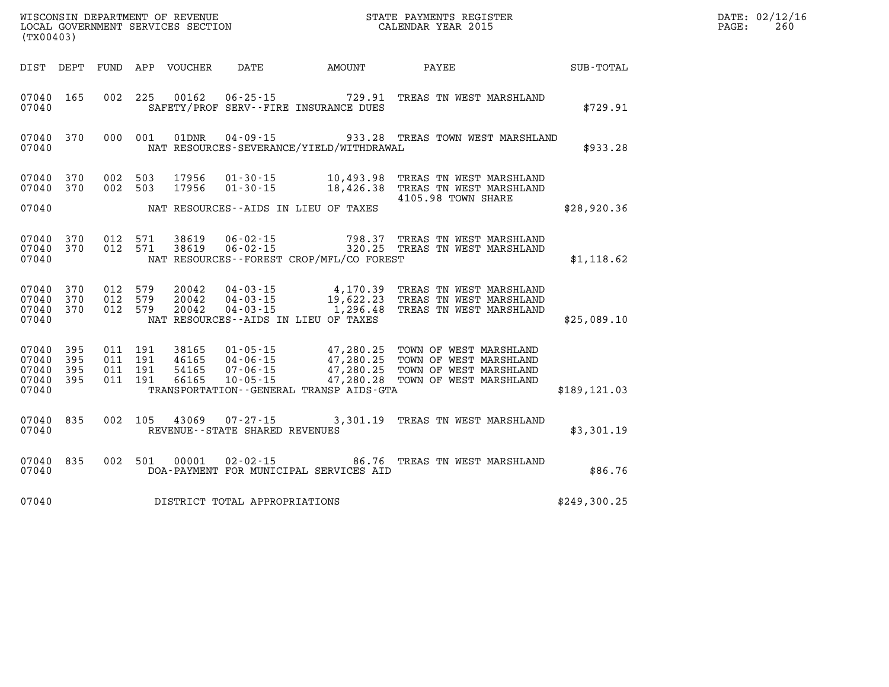| (TX00403)                                                 |         |                               |                                |                                              | WISCONSIN DEPARTMENT OF REVENUE<br>LOCAL GOVERNMENT SERVICES SECTION FOR THE STATE PAYMENTS REGISTER<br>(TWO 1403)                                                                                                                      |               | $\mathtt{PAGE:}$ | DATE: 02/12/16<br>260 |
|-----------------------------------------------------------|---------|-------------------------------|--------------------------------|----------------------------------------------|-----------------------------------------------------------------------------------------------------------------------------------------------------------------------------------------------------------------------------------------|---------------|------------------|-----------------------|
|                                                           |         |                               |                                |                                              | DIST DEPT FUND APP VOUCHER DATE AMOUNT PAYEE PATE SUB-TOTAL                                                                                                                                                                             |               |                  |                       |
| 07040 165<br>07040                                        |         |                               |                                | SAFETY/PROF SERV--FIRE INSURANCE DUES        | 002 225 00162 06-25-15 729.91 TREAS TN WEST MARSHLAND                                                                                                                                                                                   | \$729.91      |                  |                       |
| 07040 370<br>07040                                        |         |                               |                                | NAT RESOURCES-SEVERANCE/YIELD/WITHDRAWAL     | 000 001 01DNR 04-09-15 933.28 TREAS TOWN WEST MARSHLAND                                                                                                                                                                                 | \$933.28      |                  |                       |
| 07040 370<br>07040 370                                    |         |                               |                                |                                              | 002 503 17956 01-30-15 10,493.98 TREAS TN WEST MARSHLAND<br>002 503 17956 01-30-15 18,426.38 TREAS TN WEST MARSHLAND                                                                                                                    |               |                  |                       |
| 07040                                                     |         |                               |                                | NAT RESOURCES--AIDS IN LIEU OF TAXES         | 4105.98 TOWN SHARE                                                                                                                                                                                                                      | \$28,920.36   |                  |                       |
| 07040 370<br>07040 370<br>07040                           |         |                               |                                | NAT RESOURCES--FOREST CROP/MFL/CO FOREST     | 012 571 38619 06-02-15 798.37 TREAS TN WEST MARSHLAND<br>012 571 38619 06-02-15 320.25 TREAS TN WEST MARSHLAND                                                                                                                          | \$1,118.62    |                  |                       |
| 07040 370<br>07040 370<br>07040 370<br>07040              |         | 012 579<br>012 579<br>012 579 |                                | NAT RESOURCES--AIDS IN LIEU OF TAXES         | 20042  04-03-15  4,170.39  TREAS  TN WEST MARSHLAND<br>20042  04-03-15  19,622.23  TREAS  TN WEST MARSHLAND<br>20042  04-03-15  1,296.48  TREAS  TN WEST MARSHLAND                                                                      | \$25,089.10   |                  |                       |
| 07040 395<br>07040 395<br>07040 395<br>07040 395<br>07040 | 011 191 |                               |                                | TRANSPORTATION - - GENERAL TRANSP AIDS - GTA | 011 191 38165 01-05-15 47,280.25 TOWN OF WEST MARSHLAND<br>011 191 46165 04-06-15 47,280.25 TOWN OF WEST MARSHLAND<br>011 191 54165 07-06-15 47,280.25 TOWN OF WEST MARSHLAND<br>011 191 66165 10-05-15 47,280.28 TOWN OF WEST MARSHLAN | \$189, 121.03 |                  |                       |
| 07040 835<br>07040                                        |         |                               | REVENUE--STATE SHARED REVENUES |                                              | 002 105 43069 07-27-15 3,301.19 TREAS TN WEST MARSHLAND                                                                                                                                                                                 | \$3,301.19    |                  |                       |
| 07040                                                     |         |                               |                                | DOA-PAYMENT FOR MUNICIPAL SERVICES AID       | 07040 835 002 501 00001 02-02-15 86.76 TREAS TN WEST MARSHLAND                                                                                                                                                                          | \$86.76       |                  |                       |
| 07040                                                     |         |                               | DISTRICT TOTAL APPROPRIATIONS  |                                              |                                                                                                                                                                                                                                         | \$249,300.25  |                  |                       |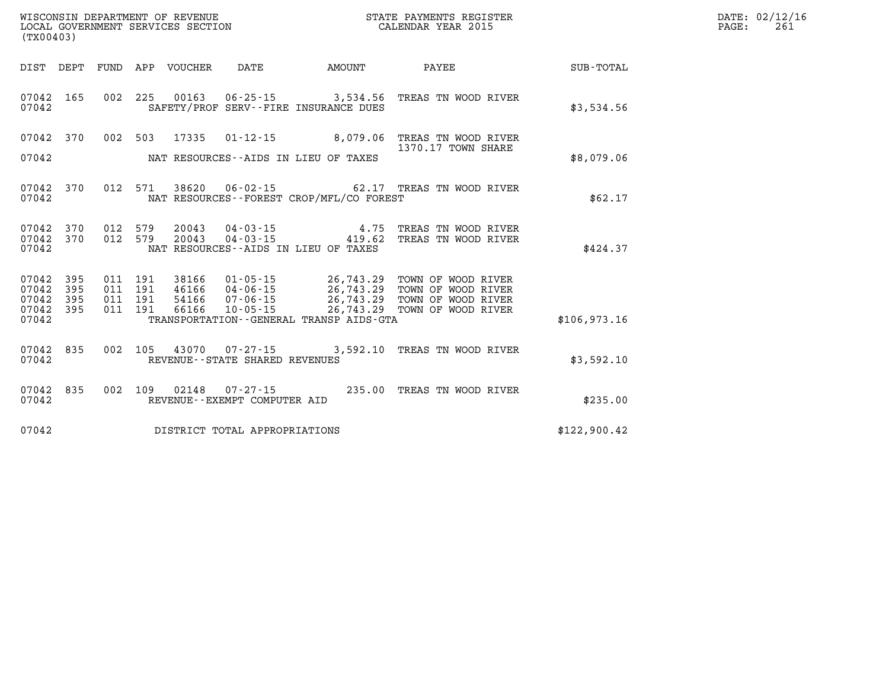| WISCONSIN DEPARTMENT OF REVENUE<br>LOCAL GOVERNMENT SERVICES SECTION<br>LOCAL GOVERNMENT SERVICES SECTION<br>CALENDAR YEAR 2015<br>(TX00403) |           |  |  |                                 |                                |                                              |                                                                                                                                                                                                                          |              | DATE: 02/12/16<br>PAGE:<br>261 |
|----------------------------------------------------------------------------------------------------------------------------------------------|-----------|--|--|---------------------------------|--------------------------------|----------------------------------------------|--------------------------------------------------------------------------------------------------------------------------------------------------------------------------------------------------------------------------|--------------|--------------------------------|
|                                                                                                                                              |           |  |  | DIST DEPT FUND APP VOUCHER DATE |                                | AMOUNT                                       | <b>PAYEE</b>                                                                                                                                                                                                             | SUB-TOTAL    |                                |
| 07042                                                                                                                                        |           |  |  |                                 |                                | SAFETY/PROF SERV--FIRE INSURANCE DUES        | 07042 165 002 225 00163 06-25-15 3,534.56 TREAS TN WOOD RIVER                                                                                                                                                            | \$3,534.56   |                                |
|                                                                                                                                              | 07042 370 |  |  |                                 |                                |                                              | 002 503 17335 01-12-15 8,079.06 TREAS TN WOOD RIVER<br>1370.17 TOWN SHARE                                                                                                                                                |              |                                |
| 07042                                                                                                                                        |           |  |  |                                 |                                | NAT RESOURCES--AIDS IN LIEU OF TAXES         |                                                                                                                                                                                                                          | \$8,079.06   |                                |
| 07042                                                                                                                                        |           |  |  |                                 |                                | NAT RESOURCES - - FOREST CROP/MFL/CO FOREST  | 07042 370 012 571 38620 06-02-15 62.17 TREAS TN WOOD RIVER                                                                                                                                                               | \$62.17      |                                |
| 07042                                                                                                                                        |           |  |  |                                 |                                | NAT RESOURCES--AIDS IN LIEU OF TAXES         | 07042 370 012 579 20043 04-03-15 4.75 TREAS TN WOOD RIVER<br>07042 370 012 579 20043 04-03-15 419.62 TREAS TN WOOD RIVER                                                                                                 | \$424.37     |                                |
| 07042 395<br>07042 395<br>07042 395                                                                                                          |           |  |  |                                 |                                |                                              | 011 191 38166 01-05-15 26,743.29 TOWN OF WOOD RIVER<br>011 191 46166 04-06-15 26,743.29 TOWN OF WOOD RIVER<br>011 191 54166 07-06-15 26,743.29 TOWN OF WOOD RIVER<br>011 191 66166 10-05-15 26,743.29 TOWN OF WOOD RIVER |              |                                |
| 07042 395<br>07042                                                                                                                           |           |  |  |                                 |                                | TRANSPORTATION - - GENERAL TRANSP AIDS - GTA |                                                                                                                                                                                                                          | \$106,973.16 |                                |
| 07042                                                                                                                                        | 07042 835 |  |  |                                 | REVENUE--STATE SHARED REVENUES |                                              | 002 105 43070 07-27-15 3,592.10 TREAS TN WOOD RIVER                                                                                                                                                                      | \$3,592.10   |                                |
| 07042                                                                                                                                        | 07042 835 |  |  |                                 | REVENUE--EXEMPT COMPUTER AID   |                                              | 002 109 02148 07-27-15 235.00 TREAS TN WOOD RIVER                                                                                                                                                                        | \$235.00     |                                |
| 07042                                                                                                                                        |           |  |  |                                 | DISTRICT TOTAL APPROPRIATIONS  |                                              |                                                                                                                                                                                                                          | \$122,900.42 |                                |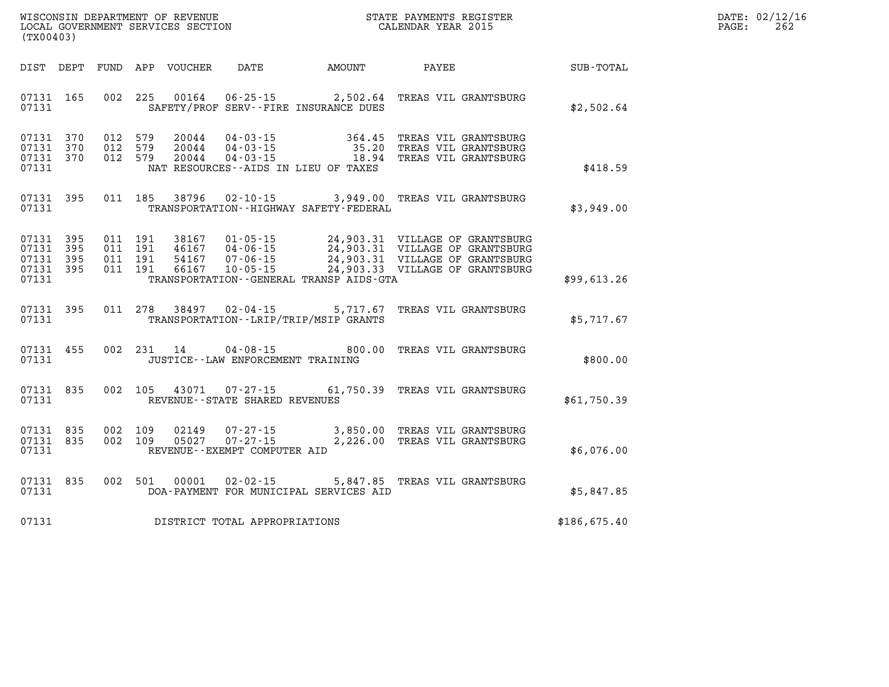| DATE: | 02/12/16 |
|-------|----------|
| PAGE: | 262      |

| WISCONSIN DEPARTMENT OF REVENUE<br>(TX00403)                                                      | LOCAL GOVERNMENT SERVICES SECTION                                                                                                                                               |                          | STATE PAYMENTS REGISTER<br>CALENDAR YEAR 2015                                                                                            |              |
|---------------------------------------------------------------------------------------------------|---------------------------------------------------------------------------------------------------------------------------------------------------------------------------------|--------------------------|------------------------------------------------------------------------------------------------------------------------------------------|--------------|
| DIST<br>DEPT<br>FUND                                                                              | APP<br><b>VOUCHER</b><br>DATE                                                                                                                                                   | AMOUNT                   | PAYEE                                                                                                                                    | SUB-TOTAL    |
| 165<br>002<br>07131<br>07131                                                                      | 225<br>00164<br>SAFETY/PROF SERV--FIRE INSURANCE DUES                                                                                                                           | $06 - 25 - 15$ 2,502.64  | TREAS VIL GRANTSBURG                                                                                                                     | \$2,502.64   |
| 370<br>012<br>07131<br>370<br>012<br>07131<br>07131<br>370<br>012<br>07131                        | 579<br>20044<br>$04 - 03 - 15$<br>579<br>20044<br>$04 - 03 - 15$<br>579<br>20044<br>$04 - 03 - 15$<br>NAT RESOURCES -- AIDS IN LIEU OF TAXES                                    | 364.45<br>35.20<br>18.94 | TREAS VIL GRANTSBURG<br>TREAS VIL GRANTSBURG<br>TREAS VIL GRANTSBURG                                                                     | \$418.59     |
| 395<br>011<br>07131<br>07131                                                                      | 185<br>38796<br>02-10-15<br>TRANSPORTATION - - HIGHWAY SAFETY - FEDERAL                                                                                                         | 3,949.00                 | TREAS VIL GRANTSBURG                                                                                                                     | \$3,949.00   |
| 07131<br>395<br>011<br>395<br>07131<br>011<br>07131<br>395<br>011<br>07131<br>395<br>011<br>07131 | 191<br>38167<br>$01 - 05 - 15$<br>191<br>46167<br>$04 - 06 - 15$<br>191<br>54167<br>$07 - 06 - 15$<br>191<br>66167<br>$10 - 05 - 15$<br>TRANSPORTATION--GENERAL TRANSP AIDS-GTA |                          | 24,903.31 VILLAGE OF GRANTSBURG<br>24,903.31 VILLAGE OF GRANTSBURG<br>24,903.31 VILLAGE OF GRANTSBURG<br>24,903.33 VILLAGE OF GRANTSBURG | \$99,613.26  |
| 07131<br>395<br>011<br>07131                                                                      | 278<br>38497<br>$02 - 04 - 15$<br>TRANSPORTATION - - LRIP/TRIP/MSIP GRANTS                                                                                                      | 5,717.67                 | TREAS VIL GRANTSBURG                                                                                                                     | \$5,717.67   |
| 07131<br>455<br>002<br>07131                                                                      | 231<br>14<br>$04 - 08 - 15$<br>JUSTICE - - LAW ENFORCEMENT TRAINING                                                                                                             | 800.00                   | TREAS VIL GRANTSBURG                                                                                                                     | \$800.00     |
| 835<br>002<br>07131<br>07131                                                                      | 43071<br>105<br>$07 - 27 - 15$<br>REVENUE - - STATE SHARED REVENUES                                                                                                             |                          | 61,750.39 TREAS VIL GRANTSBURG                                                                                                           | \$61,750.39  |
| 835<br>002<br>07131<br>835<br>07131<br>002<br>07131                                               | 109<br>$07 - 27 - 15$<br>02149<br>109<br>$07 - 27 - 15$<br>05027<br>REVENUE--EXEMPT COMPUTER AID                                                                                | 3,850.00<br>2,226.00     | TREAS VIL GRANTSBURG<br>TREAS VIL GRANTSBURG                                                                                             | \$6,076.00   |
| 07131<br>835<br>002<br>07131                                                                      | 501<br>00001<br>$02 - 02 - 15$<br>DOA-PAYMENT FOR MUNICIPAL SERVICES AID                                                                                                        | 5,847.85                 | TREAS VIL GRANTSBURG                                                                                                                     | \$5,847.85   |
| 07131                                                                                             | DISTRICT TOTAL APPROPRIATIONS                                                                                                                                                   |                          |                                                                                                                                          | \$186,675.40 |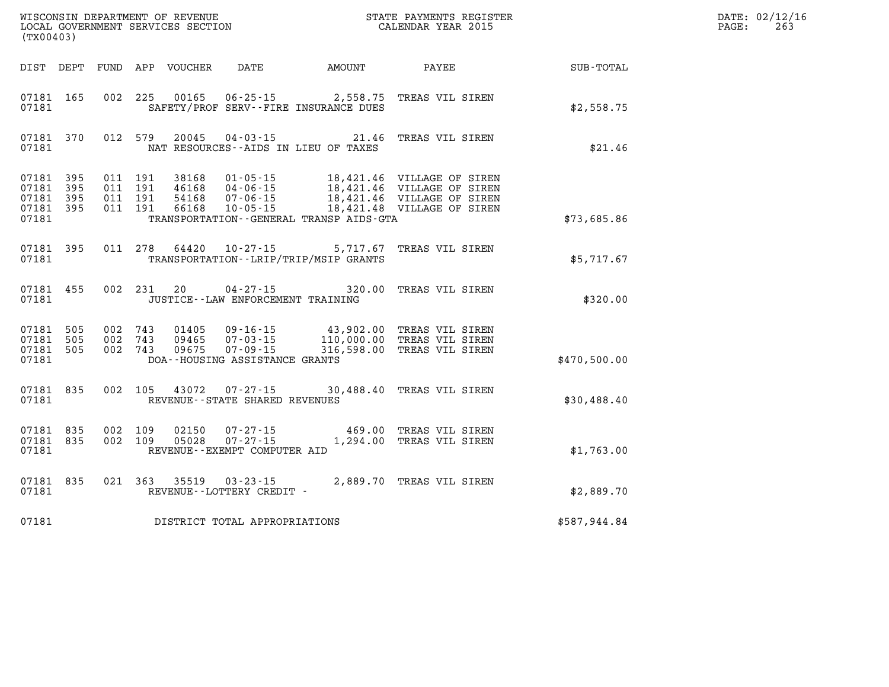| WISCONSIN DEPARTMENT OF REVENUE<br>LOCAL GOVERNMENT SERVICES SECTION<br>(TX00403) |           |                                          |  |                |                                             | STATE PAYMENTS REGISTER<br>CALENDAR YEAR 2015                                                                                                              |                                               |              | DATE: 02/12/16<br>$\mathtt{PAGE}$ :<br>263 |
|-----------------------------------------------------------------------------------|-----------|------------------------------------------|--|----------------|---------------------------------------------|------------------------------------------------------------------------------------------------------------------------------------------------------------|-----------------------------------------------|--------------|--------------------------------------------|
|                                                                                   |           |                                          |  |                | DIST DEPT FUND APP VOUCHER DATE AMOUNT      |                                                                                                                                                            | PAYEE                                         | SUB-TOTAL    |                                            |
| 07181 165<br>07181                                                                |           | 002 225                                  |  |                |                                             | 00165  06-25-15  2,558.75<br>SAFETY/PROF SERV--FIRE INSURANCE DUES                                                                                         | TREAS VIL SIREN                               | \$2,558.75   |                                            |
| 07181                                                                             | 07181 370 |                                          |  |                |                                             | 012 579 20045 04-03-15 21.46 TREAS VIL SIREN<br>NAT RESOURCES--AIDS IN LIEU OF TAXES                                                                       |                                               | \$21.46      |                                            |
| 07181 395<br>07181 395<br>07181 395<br>07181 395<br>07181                         |           | 011 191<br>011 191<br>011 191<br>011 191 |  | 46168<br>54168 |                                             | TRANSPORTATION - - GENERAL TRANSP AIDS - GTA                                                                                                               |                                               | \$73,685.86  |                                            |
| 07181 395<br>07181                                                                |           |                                          |  |                | 011 278 64420 10-27-15                      | 5,717.67<br>TRANSPORTATION - - LRIP/TRIP/MSIP GRANTS                                                                                                       | TREAS VIL SIREN                               | \$5.717.67   |                                            |
| 07181                                                                             | 07181 455 |                                          |  | 002 231 20     | JUSTICE -- LAW ENFORCEMENT TRAINING         | 04-27-15 320.00 TREAS VIL SIREN                                                                                                                            |                                               | \$320.00     |                                            |
| 07181 505<br>07181<br>07181 505<br>07181                                          | 505       | 002 743<br>002 743<br>002 743            |  | 09465<br>09675 | DOA--HOUSING ASSISTANCE GRANTS              | 01405  09-16-15  43,902.00  TREAS VIL SIREN<br>$07 - 03 - 15$<br>$07 - 09 - 15$<br>$07 - 09 - 15$<br>$07 - 09 - 15$<br>$08 - 00$<br>$09 - 15$<br>$09 - 15$ | TREAS VIL SIREN<br>316,598.00 TREAS VIL SIREN | \$470,500.00 |                                            |
| 07181                                                                             | 07181 835 |                                          |  |                | REVENUE - - STATE SHARED REVENUES           | 002 105 43072 07-27-15 30,488.40 TREAS VIL SIREN                                                                                                           |                                               | \$30,488.40  |                                            |
| 07181 835<br>07181 835<br>07181                                                   |           | 002 109<br>002 109                       |  | 02150<br>05028 | REVENUE--EXEMPT COMPUTER AID                | 07-27-15 469.00 TREAS VIL SIREN<br>07-27-15 1,294.00 TREAS VIL SIREN                                                                                       |                                               | \$1,763.00   |                                            |
| 07181                                                                             | 07181 835 |                                          |  | 021 363 35519  | $03 - 23 - 15$<br>REVENUE--LOTTERY CREDIT - | 2,889.70 TREAS VIL SIREN                                                                                                                                   |                                               | \$2,889.70   |                                            |
| 07181                                                                             |           |                                          |  |                | DISTRICT TOTAL APPROPRIATIONS               |                                                                                                                                                            |                                               | \$587,944.84 |                                            |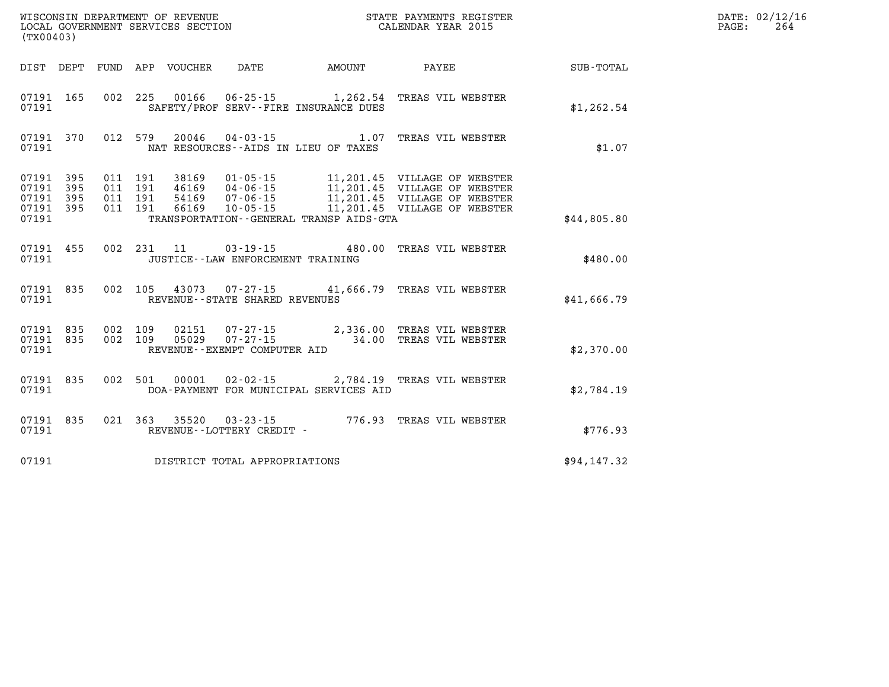| WISCONSIN DEPARTMENT OF REVENUE<br>LOCAL GOVERNMENT SERVICES SECTION THE STATE PAYMENTS REGISTER<br>(TWOO403)<br>(TX00403) |       |  |  |  |                                            |                                             |                                                                                                                                                                                                                                                                                                                                                                                           |             | DATE: 02/12/16<br>PAGE:<br>264 |
|----------------------------------------------------------------------------------------------------------------------------|-------|--|--|--|--------------------------------------------|---------------------------------------------|-------------------------------------------------------------------------------------------------------------------------------------------------------------------------------------------------------------------------------------------------------------------------------------------------------------------------------------------------------------------------------------------|-------------|--------------------------------|
|                                                                                                                            |       |  |  |  |                                            |                                             | DIST DEPT FUND APP VOUCHER DATE AMOUNT PAYEE PAYER SUB-TOTAL                                                                                                                                                                                                                                                                                                                              |             |                                |
|                                                                                                                            |       |  |  |  |                                            | 07191 SAFETY/PROF SERV--FIRE INSURANCE DUES | 07191 165 002 225 00166 06-25-15 1,262.54 TREAS VIL WEBSTER                                                                                                                                                                                                                                                                                                                               | \$1,262.54  |                                |
|                                                                                                                            |       |  |  |  | 07191 MAT RESOURCES--AIDS IN LIEU OF TAXES |                                             | 07191 370 012 579 20046 04-03-15 1.07 TREAS VIL WEBSTER                                                                                                                                                                                                                                                                                                                                   | \$1.07      |                                |
|                                                                                                                            | 07191 |  |  |  |                                            |                                             | $\begin{array}{cccccccc} 07191 & 395 & 011 & 191 & 38169 & 01\cdot 05\cdot 15 & 11,201.45 & \text{VILLAGE OF WEBSTER} \\ 07191 & 395 & 011 & 191 & 46169 & 04\cdot 06\cdot 15 & 11,201.45 & \text{VILLAGE OF WEBSTER} \\ 07191 & 395 & 011 & 191 & 54169 & 07\cdot 06\cdot 15 & 11,201.45 & \text{VILLAGE OF WEBSTER} \\ 07191 & 395 & 0$<br>TRANSPORTATION - - GENERAL TRANSP AIDS - GTA | \$44,805.80 |                                |
|                                                                                                                            |       |  |  |  |                                            |                                             |                                                                                                                                                                                                                                                                                                                                                                                           |             |                                |
| 07191                                                                                                                      |       |  |  |  | JUSTICE -- LAW ENFORCEMENT TRAINING        |                                             | 07191 455 002 231 11 03-19-15 480.00 TREAS VIL WEBSTER                                                                                                                                                                                                                                                                                                                                    | \$480.00    |                                |
|                                                                                                                            |       |  |  |  | 07191 REVENUE - STATE SHARED REVENUES      |                                             | 07191 835 002 105 43073 07-27-15 41,666.79 TREAS VIL WEBSTER                                                                                                                                                                                                                                                                                                                              | \$41,666.79 |                                |
|                                                                                                                            |       |  |  |  | 07191 REVENUE - EXEMPT COMPUTER AID        |                                             | 07191 835 002 109 02151 07-27-15 2,336.00 TREAS VIL WEBSTER<br>07191 835 002 109 05029 07-27-15 34.00 TREAS VIL WEBSTER                                                                                                                                                                                                                                                                   | \$2,370.00  |                                |
|                                                                                                                            | 07191 |  |  |  |                                            |                                             | 07191 835 002 501 00001 02-02-15 2,784.19 TREAS VIL WEBSTER<br>DOA-PAYMENT FOR MUNICIPAL SERVICES AID                                                                                                                                                                                                                                                                                     | \$2,784.19  |                                |
|                                                                                                                            |       |  |  |  |                                            |                                             | 07191 835 021 363 35520 03-23-15 776.93 TREAS VIL WEBSTER 07191                                                                                                                                                                                                                                                                                                                           | \$776.93    |                                |
|                                                                                                                            |       |  |  |  | 07191 DISTRICT TOTAL APPROPRIATIONS        |                                             |                                                                                                                                                                                                                                                                                                                                                                                           | \$94,147.32 |                                |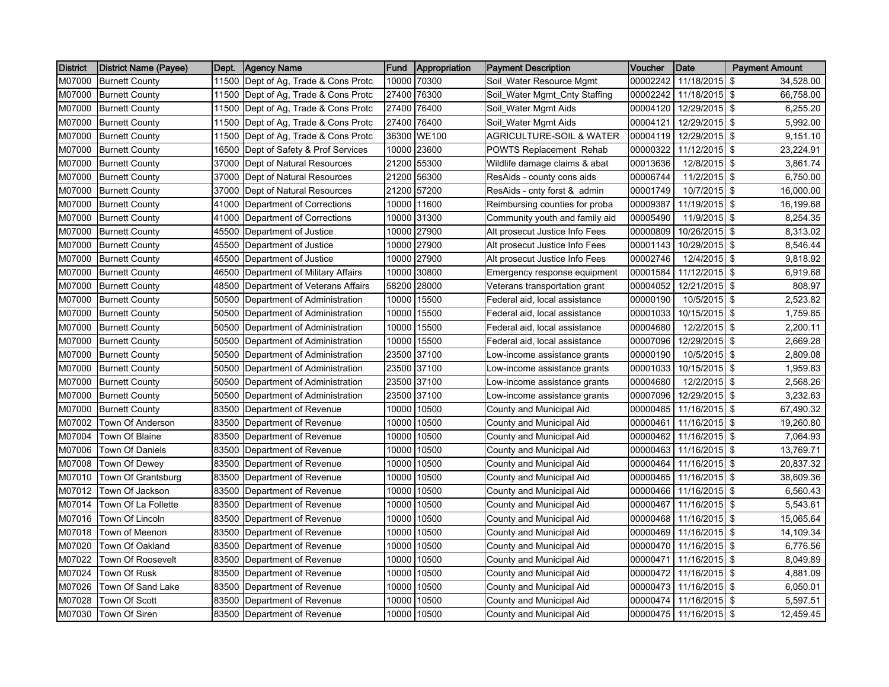| <b>District</b> | <b>District Name (Payee)</b> | Dept. | Agency Name                    | Fund  | Appropriation | <b>Payment Description</b>          | Voucher  | <b>Date</b>   | <b>Payment Amount</b> |
|-----------------|------------------------------|-------|--------------------------------|-------|---------------|-------------------------------------|----------|---------------|-----------------------|
| M07000          | <b>Burnett County</b>        | 11500 | Dept of Ag, Trade & Cons Protc |       | 10000 70300   | Soil_Water Resource Mgmt            | 00002242 | 11/18/2015    | \$<br>34,528.00       |
| M07000          | <b>Burnett County</b>        | 11500 | Dept of Ag, Trade & Cons Protc |       | 27400 76300   | Soil_Water Mgmt_Cnty Staffing       | 00002242 | 11/18/2015 \$ | 66,758.00             |
| M07000          | <b>Burnett County</b>        | 11500 | Dept of Ag, Trade & Cons Protc |       | 27400 76400   | Soil_Water Mgmt Aids                | 00004120 | 12/29/2015 \$ | 6,255.20              |
| M07000          | <b>Burnett County</b>        | 11500 | Dept of Ag, Trade & Cons Protc |       | 27400 76400   | Soil_Water Mgmt Aids                | 00004121 | 12/29/2015 \$ | 5,992.00              |
| M07000          | <b>Burnett County</b>        | 11500 | Dept of Ag, Trade & Cons Protc |       | 36300 WE100   | <b>AGRICULTURE-SOIL &amp; WATER</b> | 00004119 | 12/29/2015 \$ | 9,151.10              |
| M07000          | <b>Burnett County</b>        | 16500 | Dept of Safety & Prof Services | 10000 | 23600         | <b>POWTS Replacement Rehab</b>      | 00000322 | 11/12/2015 \$ | 23,224.91             |
| M07000          | <b>Burnett County</b>        | 37000 | Dept of Natural Resources      | 21200 | 55300         | Wildlife damage claims & abat       | 00013636 | 12/8/2015 \$  | 3,861.74              |
| M07000          | <b>Burnett County</b>        | 37000 | Dept of Natural Resources      |       | 21200 56300   | ResAids - county cons aids          | 00006744 | 11/2/2015 \$  | 6,750.00              |
| M07000          | <b>Burnett County</b>        | 37000 | Dept of Natural Resources      | 21200 | 57200         | ResAids - cnty forst & admin        | 00001749 | 10/7/2015 \$  | 16,000.00             |
| M07000          | <b>Burnett County</b>        | 41000 | Department of Corrections      |       | 10000 11600   | Reimbursing counties for proba      | 00009387 | 11/19/2015 \$ | 16,199.68             |
| M07000          | <b>Burnett County</b>        | 41000 | Department of Corrections      |       | 10000 31300   | Community youth and family aid      | 00005490 | 11/9/2015 \$  | 8,254.35              |
| M07000          | <b>Burnett County</b>        | 45500 | Department of Justice          |       | 10000 27900   | Alt prosecut Justice Info Fees      | 00000809 | 10/26/2015 \$ | 8,313.02              |
| M07000          | <b>Burnett County</b>        | 45500 | Department of Justice          |       | 10000 27900   | Alt prosecut Justice Info Fees      | 00001143 | 10/29/2015 \$ | 8,546.44              |
| M07000          | <b>Burnett County</b>        | 45500 | Department of Justice          | 10000 | 27900         | Alt prosecut Justice Info Fees      | 00002746 | 12/4/2015 \$  | 9,818.92              |
| M07000          | <b>Burnett County</b>        | 46500 | Department of Military Affairs | 10000 | 30800         | Emergency response equipment        | 00001584 | 11/12/2015 \$ | 6,919.68              |
| M07000          | <b>Burnett County</b>        | 48500 | Department of Veterans Affairs | 58200 | 28000         | Veterans transportation grant       | 00004052 | 12/21/2015 \$ | 808.97                |
| M07000          | <b>Burnett County</b>        | 50500 | Department of Administration   |       | 10000 15500   | Federal aid, local assistance       | 00000190 | 10/5/2015 \$  | 2,523.82              |
| M07000          | <b>Burnett County</b>        | 50500 | Department of Administration   |       | 10000 15500   | Federal aid, local assistance       | 00001033 | 10/15/2015 \$ | 1,759.85              |
| M07000          | <b>Burnett County</b>        | 50500 | Department of Administration   | 10000 | 15500         | Federal aid, local assistance       | 00004680 | 12/2/2015 \$  | 2,200.11              |
| M07000          | <b>Burnett County</b>        | 50500 | Department of Administration   | 10000 | 15500         | Federal aid, local assistance       | 00007096 | 12/29/2015 \$ | 2,669.28              |
| M07000          | <b>Burnett County</b>        | 50500 | Department of Administration   |       | 23500 37100   | Low-income assistance grants        | 00000190 | 10/5/2015 \$  | 2,809.08              |
| M07000          | <b>Burnett County</b>        | 50500 | Department of Administration   |       | 23500 37100   | Low-income assistance grants        | 00001033 | 10/15/2015 \$ | 1,959.83              |
| M07000          | <b>Burnett County</b>        | 50500 | Department of Administration   |       | 23500 37100   | Low-income assistance grants        | 00004680 | 12/2/2015 \$  | 2,568.26              |
| M07000          | <b>Burnett County</b>        | 50500 | Department of Administration   |       | 23500 37100   | Low-income assistance grants        | 00007096 | 12/29/2015 \$ | 3,232.63              |
| M07000          | <b>Burnett County</b>        | 83500 | Department of Revenue          | 10000 | 10500         | County and Municipal Aid            | 00000485 | 11/16/2015 \$ | 67,490.32             |
| M07002          | Town Of Anderson             | 83500 | Department of Revenue          | 10000 | 10500         | County and Municipal Aid            | 00000461 | 11/16/2015 \$ | 19,260.80             |
| M07004          | Town Of Blaine               | 83500 | Department of Revenue          | 10000 | 10500         | County and Municipal Aid            | 00000462 | 11/16/2015 \$ | 7,064.93              |
| M07006          | Town Of Daniels              | 83500 | Department of Revenue          |       | 10000 10500   | County and Municipal Aid            | 00000463 | 11/16/2015 \$ | 13,769.71             |
| M07008          | Town Of Dewey                | 83500 | Department of Revenue          |       | 10000 10500   | County and Municipal Aid            | 00000464 | 11/16/2015 \$ | 20,837.32             |
| M07010          | Town Of Grantsburg           | 83500 | Department of Revenue          |       | 10000 10500   | County and Municipal Aid            | 00000465 | 11/16/2015 \$ | 38,609.36             |
| M07012          | Town Of Jackson              | 83500 | Department of Revenue          | 10000 | 10500         | County and Municipal Aid            | 00000466 | 11/16/2015 \$ | 6,560.43              |
| M07014          | Town Of La Follette          | 83500 | Department of Revenue          |       | 10000 10500   | County and Municipal Aid            | 00000467 | 11/16/2015 \$ | 5,543.61              |
| M07016          | Town Of Lincoln              | 83500 | Department of Revenue          |       | 10000 10500   | County and Municipal Aid            | 00000468 | 11/16/2015 \$ | 15,065.64             |
| M07018          | Town of Meenon               | 83500 | Department of Revenue          |       | 10000 10500   | County and Municipal Aid            | 00000469 | 11/16/2015 \$ | 14,109.34             |
| M07020          | Town Of Oakland              | 83500 | Department of Revenue          |       | 10000 10500   | County and Municipal Aid            | 00000470 | 11/16/2015 \$ | 6,776.56              |
| M07022          | Town Of Roosevelt            | 83500 | Department of Revenue          | 10000 | 10500         | County and Municipal Aid            | 00000471 | 11/16/2015 \$ | 8,049.89              |
| M07024          | Town Of Rusk                 | 83500 | Department of Revenue          | 10000 | 10500         | County and Municipal Aid            | 00000472 | 11/16/2015 \$ | 4,881.09              |
| M07026          | Town Of Sand Lake            | 83500 | Department of Revenue          |       | 10000 10500   | County and Municipal Aid            | 00000473 | 11/16/2015 \$ | 6,050.01              |
| M07028          | Town Of Scott                | 83500 | Department of Revenue          | 10000 | 10500         | County and Municipal Aid            | 00000474 | 11/16/2015 \$ | 5,597.51              |
| M07030          | <b>Town Of Siren</b>         | 83500 | Department of Revenue          |       | 10000 10500   | County and Municipal Aid            | 00000475 | 11/16/2015 \$ | 12,459.45             |